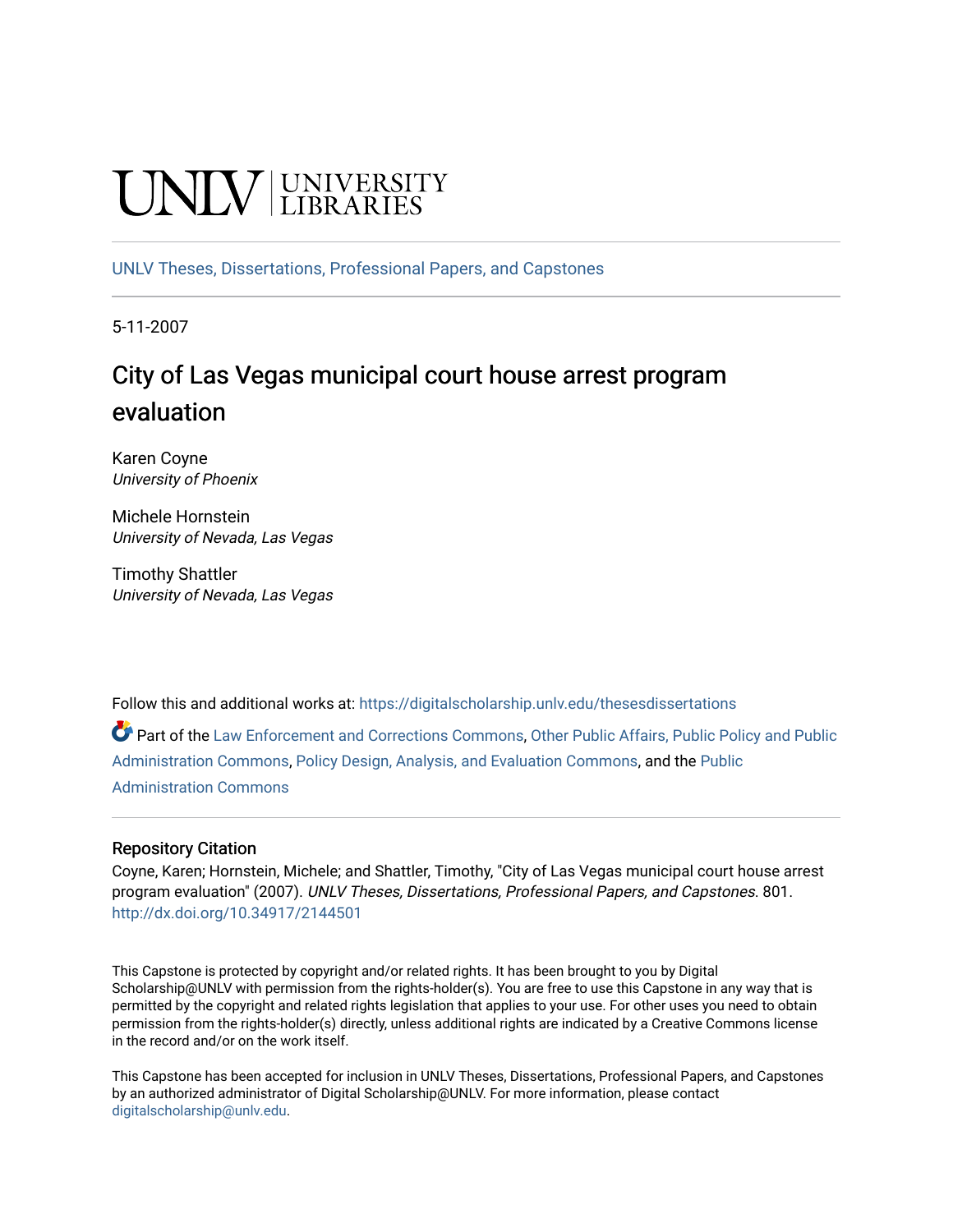# **CINITY** UNIVERSITY

[UNLV Theses, Dissertations, Professional Papers, and Capstones](https://digitalscholarship.unlv.edu/thesesdissertations)

5-11-2007

# City of Las Vegas municipal court house arrest program evaluation

Karen Coyne University of Phoenix

Michele Hornstein University of Nevada, Las Vegas

Timothy Shattler University of Nevada, Las Vegas

Follow this and additional works at: [https://digitalscholarship.unlv.edu/thesesdissertations](https://digitalscholarship.unlv.edu/thesesdissertations?utm_source=digitalscholarship.unlv.edu%2Fthesesdissertations%2F801&utm_medium=PDF&utm_campaign=PDFCoverPages)

Part of the [Law Enforcement and Corrections Commons,](http://network.bepress.com/hgg/discipline/854?utm_source=digitalscholarship.unlv.edu%2Fthesesdissertations%2F801&utm_medium=PDF&utm_campaign=PDFCoverPages) [Other Public Affairs, Public Policy and Public](http://network.bepress.com/hgg/discipline/403?utm_source=digitalscholarship.unlv.edu%2Fthesesdissertations%2F801&utm_medium=PDF&utm_campaign=PDFCoverPages) [Administration Commons,](http://network.bepress.com/hgg/discipline/403?utm_source=digitalscholarship.unlv.edu%2Fthesesdissertations%2F801&utm_medium=PDF&utm_campaign=PDFCoverPages) [Policy Design, Analysis, and Evaluation Commons](http://network.bepress.com/hgg/discipline/1032?utm_source=digitalscholarship.unlv.edu%2Fthesesdissertations%2F801&utm_medium=PDF&utm_campaign=PDFCoverPages), and the [Public](http://network.bepress.com/hgg/discipline/398?utm_source=digitalscholarship.unlv.edu%2Fthesesdissertations%2F801&utm_medium=PDF&utm_campaign=PDFCoverPages)  [Administration Commons](http://network.bepress.com/hgg/discipline/398?utm_source=digitalscholarship.unlv.edu%2Fthesesdissertations%2F801&utm_medium=PDF&utm_campaign=PDFCoverPages) 

# Repository Citation

Coyne, Karen; Hornstein, Michele; and Shattler, Timothy, "City of Las Vegas municipal court house arrest program evaluation" (2007). UNLV Theses, Dissertations, Professional Papers, and Capstones. 801. <http://dx.doi.org/10.34917/2144501>

This Capstone is protected by copyright and/or related rights. It has been brought to you by Digital Scholarship@UNLV with permission from the rights-holder(s). You are free to use this Capstone in any way that is permitted by the copyright and related rights legislation that applies to your use. For other uses you need to obtain permission from the rights-holder(s) directly, unless additional rights are indicated by a Creative Commons license in the record and/or on the work itself.

This Capstone has been accepted for inclusion in UNLV Theses, Dissertations, Professional Papers, and Capstones by an authorized administrator of Digital Scholarship@UNLV. For more information, please contact [digitalscholarship@unlv.edu](mailto:digitalscholarship@unlv.edu).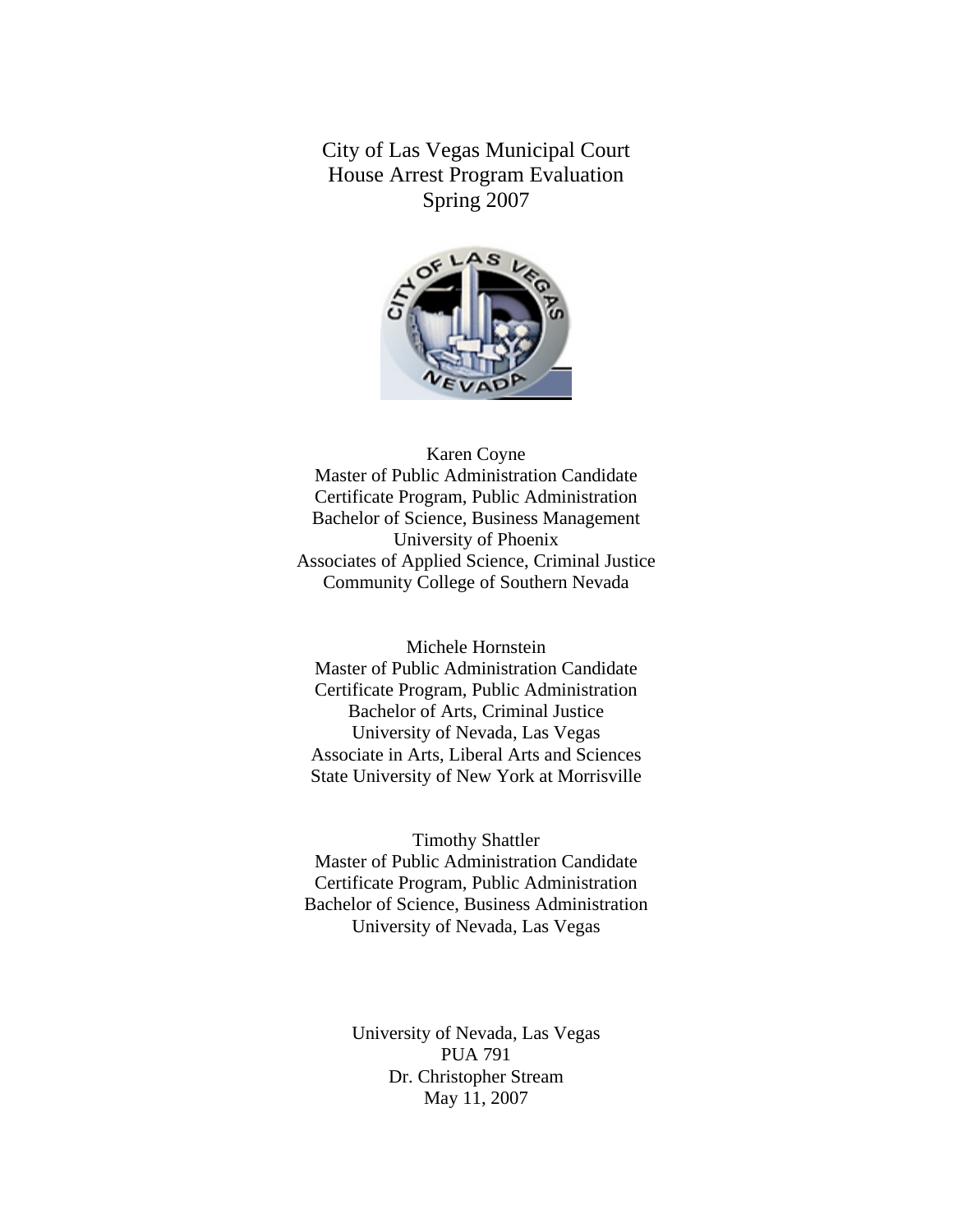City of Las Vegas Municipal Court House Arrest Program Evaluation Spring 2007



# Karen Coyne Master of Public Administration Candidate Certificate Program, Public Administration Bachelor of Science, Business Management University of Phoenix Associates of Applied Science, Criminal Justice Community College of Southern Nevada

Michele Hornstein Master of Public Administration Candidate Certificate Program, Public Administration Bachelor of Arts, Criminal Justice University of Nevada, Las Vegas Associate in Arts, Liberal Arts and Sciences State University of New York at Morrisville

Timothy Shattler Master of Public Administration Candidate Certificate Program, Public Administration Bachelor of Science, Business Administration University of Nevada, Las Vegas

> University of Nevada, Las Vegas PUA 791 Dr. Christopher Stream May 11, 2007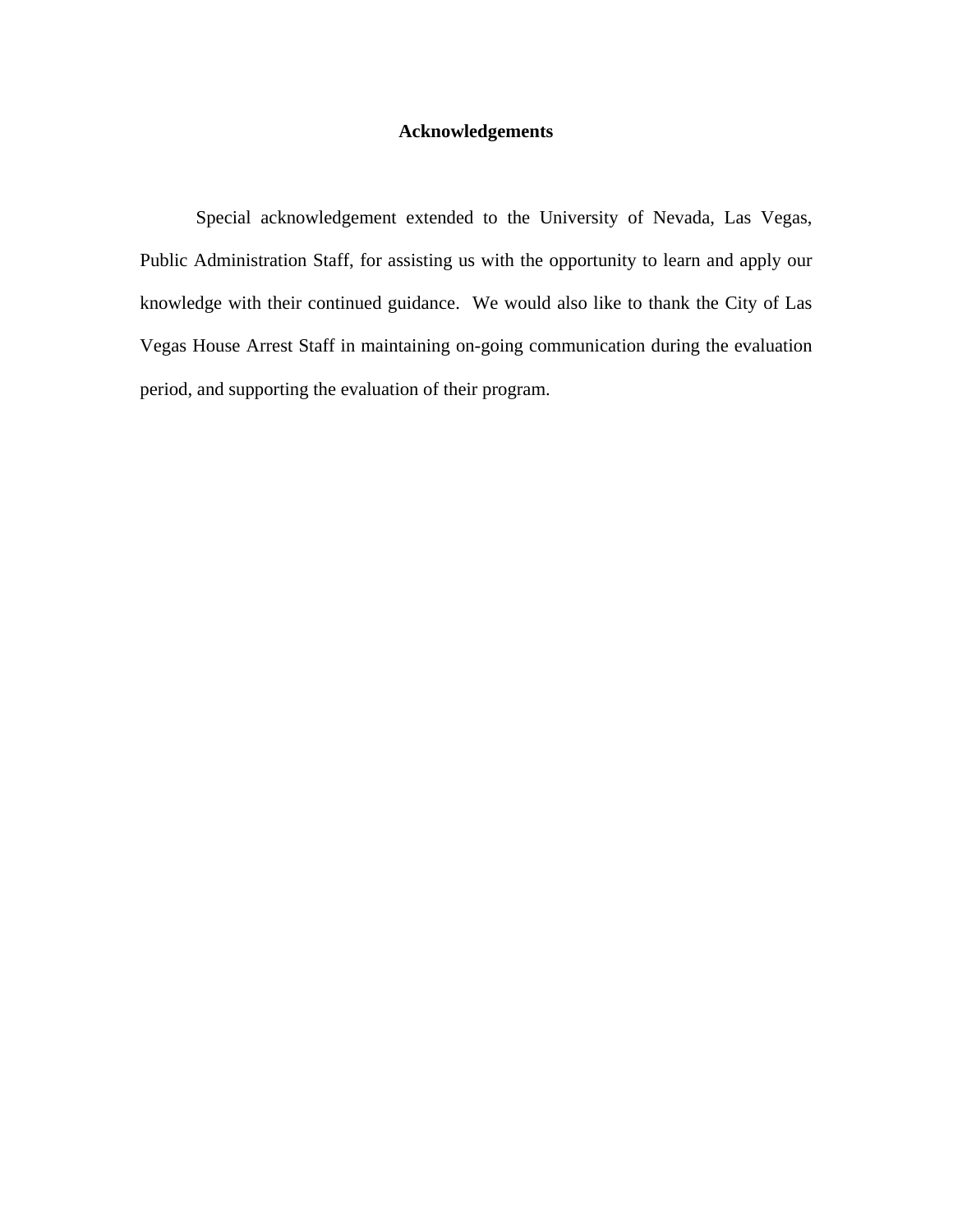# **Acknowledgements**

Special acknowledgement extended to the University of Nevada, Las Vegas, Public Administration Staff, for assisting us with the opportunity to learn and apply our knowledge with their continued guidance. We would also like to thank the City of Las Vegas House Arrest Staff in maintaining on-going communication during the evaluation period, and supporting the evaluation of their program.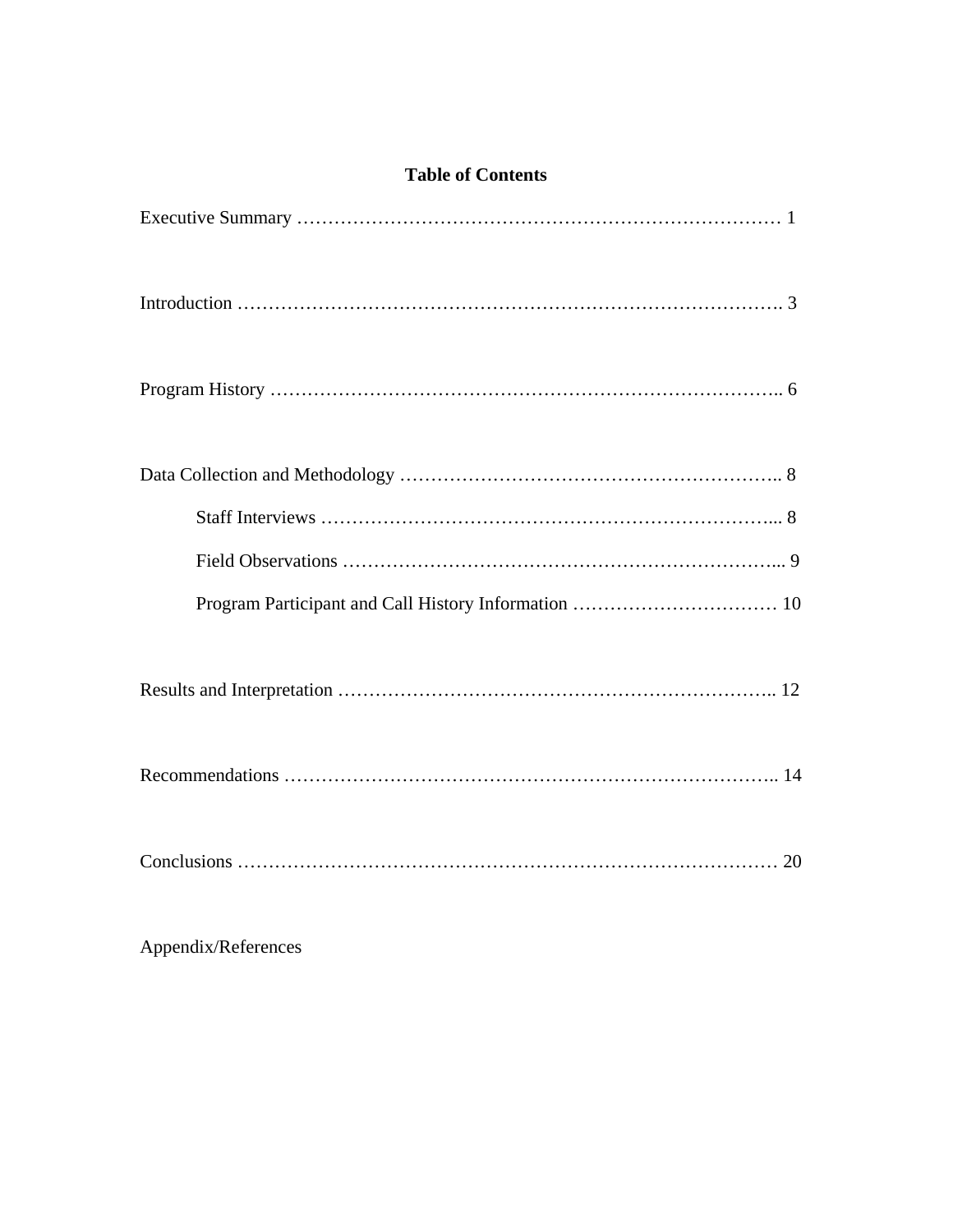| <b>Table of Contents</b> |  |
|--------------------------|--|
|                          |  |
|                          |  |
|                          |  |
|                          |  |
|                          |  |
|                          |  |
|                          |  |
|                          |  |
|                          |  |
|                          |  |

Appendix/References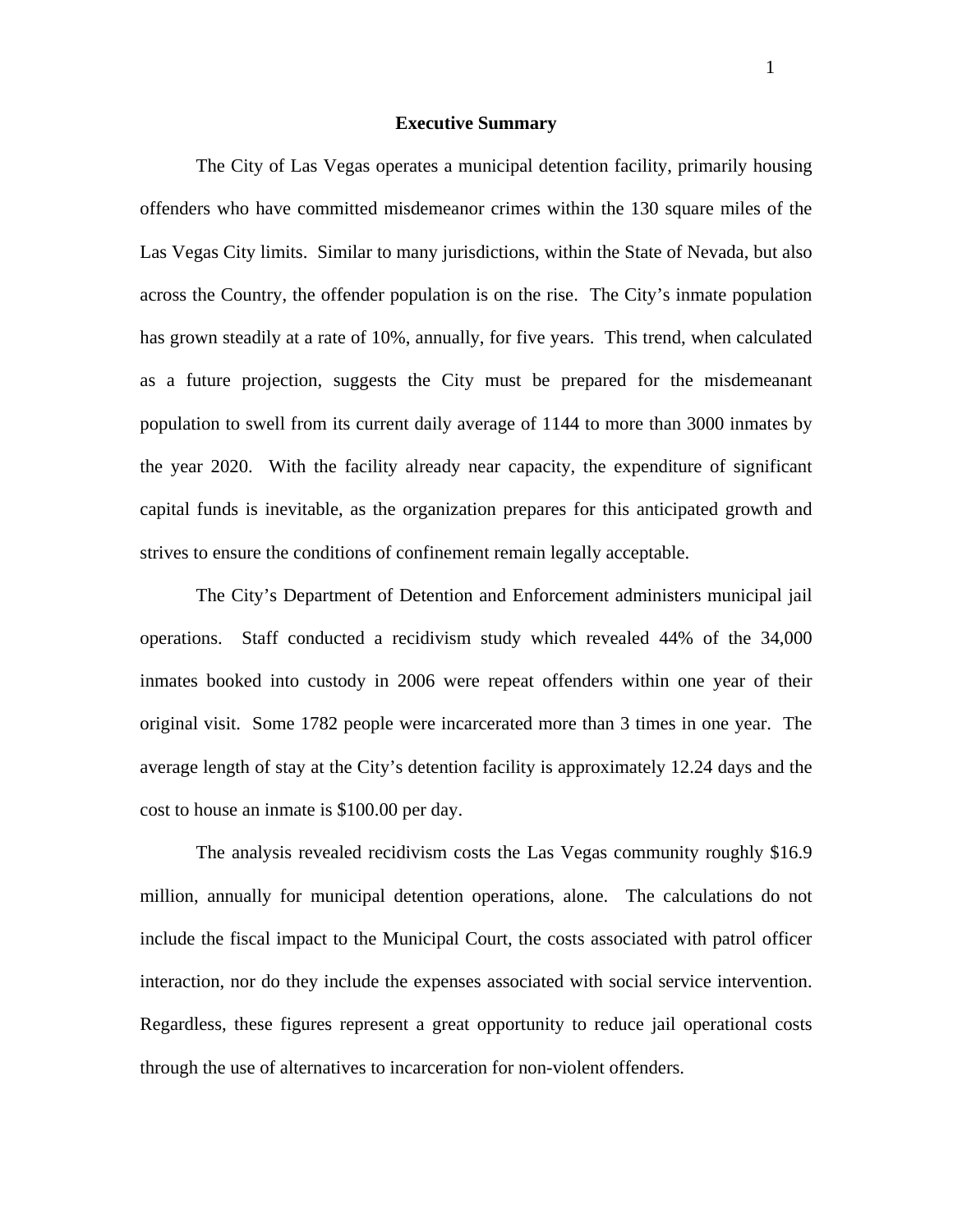#### **Executive Summary**

The City of Las Vegas operates a municipal detention facility, primarily housing offenders who have committed misdemeanor crimes within the 130 square miles of the Las Vegas City limits. Similar to many jurisdictions, within the State of Nevada, but also across the Country, the offender population is on the rise. The City's inmate population has grown steadily at a rate of 10%, annually, for five years. This trend, when calculated as a future projection, suggests the City must be prepared for the misdemeanant population to swell from its current daily average of 1144 to more than 3000 inmates by the year 2020. With the facility already near capacity, the expenditure of significant capital funds is inevitable, as the organization prepares for this anticipated growth and strives to ensure the conditions of confinement remain legally acceptable.

The City's Department of Detention and Enforcement administers municipal jail operations. Staff conducted a recidivism study which revealed 44% of the 34,000 inmates booked into custody in 2006 were repeat offenders within one year of their original visit. Some 1782 people were incarcerated more than 3 times in one year. The average length of stay at the City's detention facility is approximately 12.24 days and the cost to house an inmate is \$100.00 per day.

The analysis revealed recidivism costs the Las Vegas community roughly \$16.9 million, annually for municipal detention operations, alone. The calculations do not include the fiscal impact to the Municipal Court, the costs associated with patrol officer interaction, nor do they include the expenses associated with social service intervention. Regardless, these figures represent a great opportunity to reduce jail operational costs through the use of alternatives to incarceration for non-violent offenders.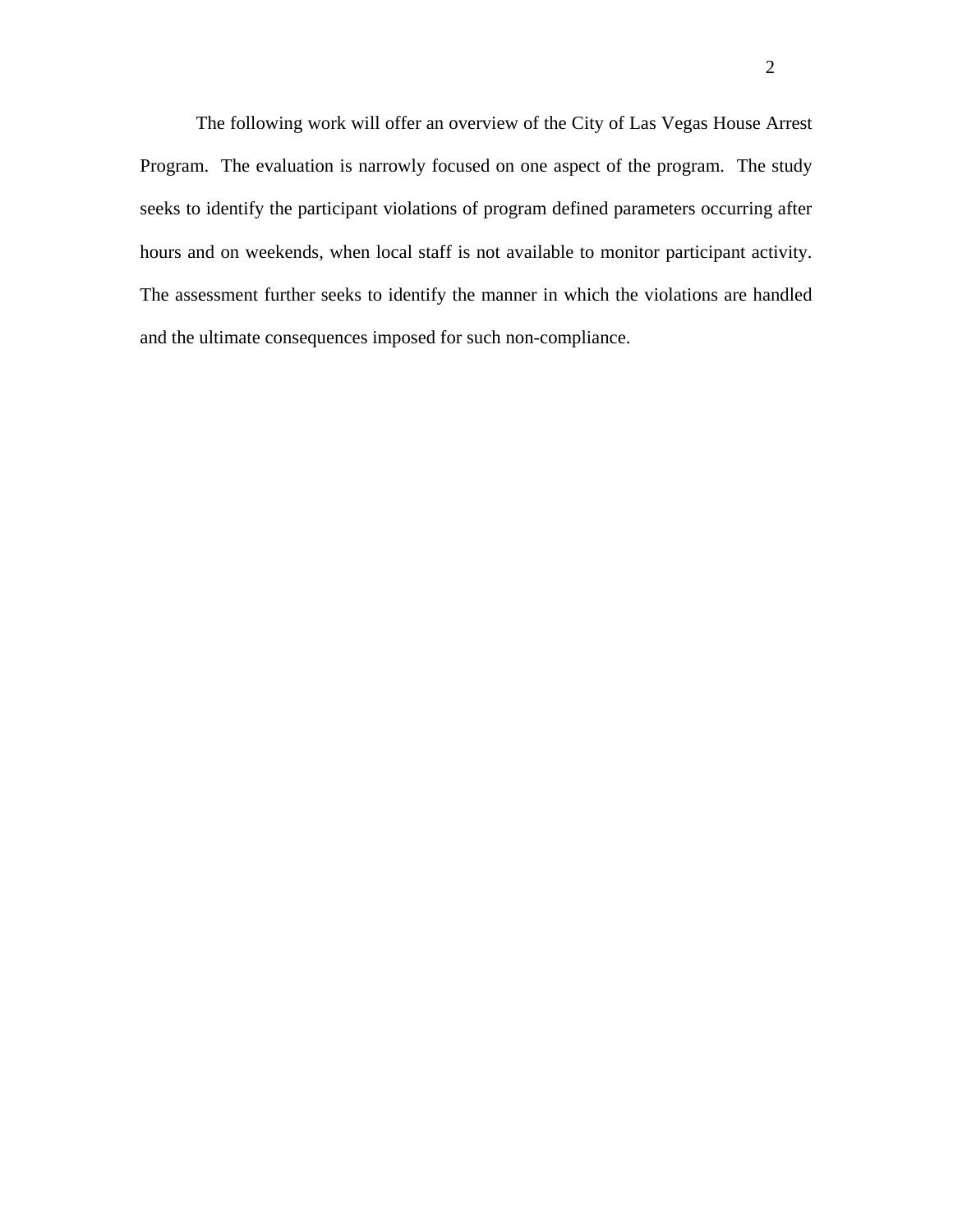The following work will offer an overview of the City of Las Vegas House Arrest Program. The evaluation is narrowly focused on one aspect of the program. The study seeks to identify the participant violations of program defined parameters occurring after hours and on weekends, when local staff is not available to monitor participant activity. The assessment further seeks to identify the manner in which the violations are handled and the ultimate consequences imposed for such non-compliance.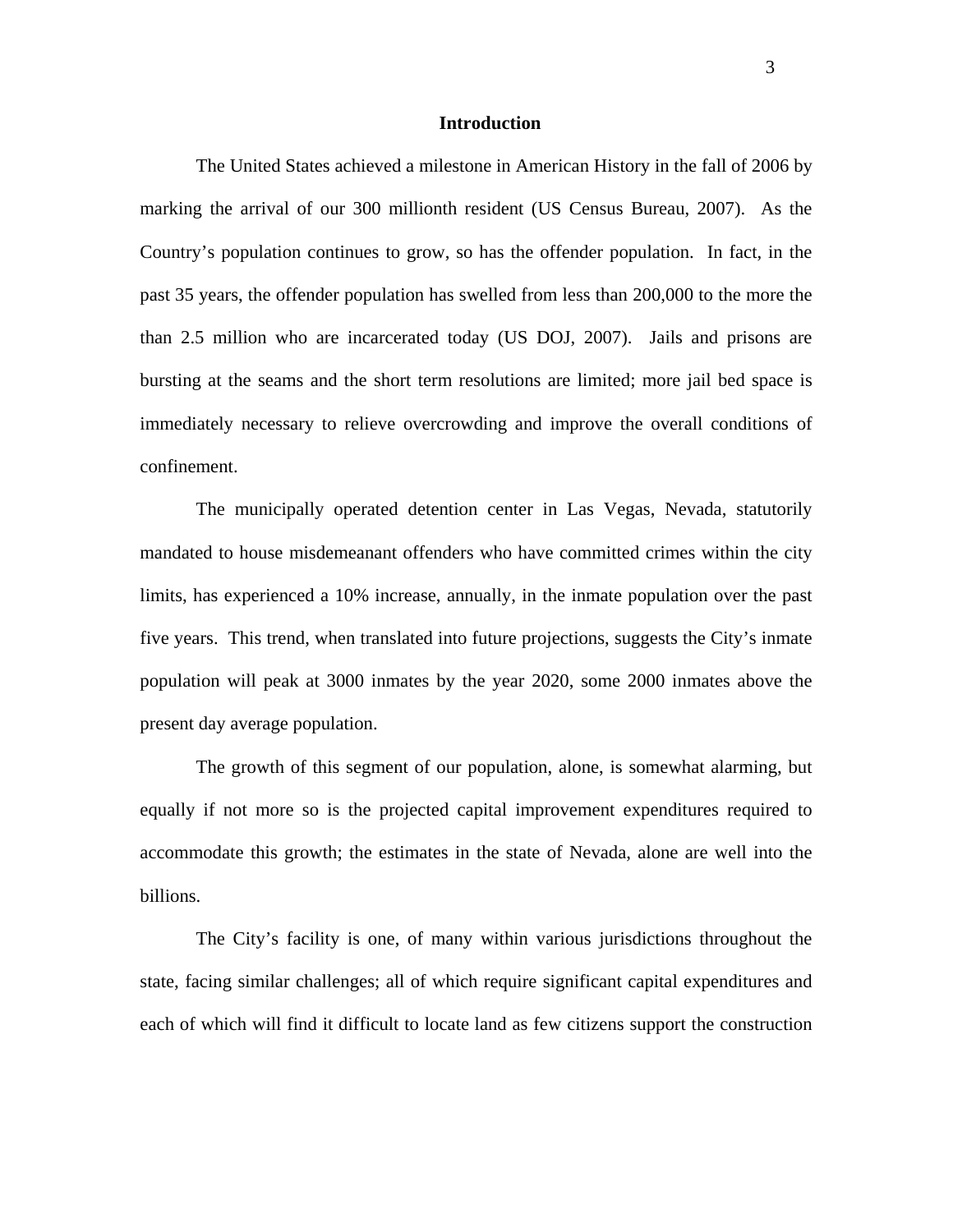#### **Introduction**

The United States achieved a milestone in American History in the fall of 2006 by marking the arrival of our 300 millionth resident (US Census Bureau, 2007). As the Country's population continues to grow, so has the offender population. In fact, in the past 35 years, the offender population has swelled from less than 200,000 to the more the than 2.5 million who are incarcerated today (US DOJ, 2007). Jails and prisons are bursting at the seams and the short term resolutions are limited; more jail bed space is immediately necessary to relieve overcrowding and improve the overall conditions of confinement.

The municipally operated detention center in Las Vegas, Nevada, statutorily mandated to house misdemeanant offenders who have committed crimes within the city limits, has experienced a 10% increase, annually, in the inmate population over the past five years. This trend, when translated into future projections, suggests the City's inmate population will peak at 3000 inmates by the year 2020, some 2000 inmates above the present day average population.

The growth of this segment of our population, alone, is somewhat alarming, but equally if not more so is the projected capital improvement expenditures required to accommodate this growth; the estimates in the state of Nevada, alone are well into the billions.

The City's facility is one, of many within various jurisdictions throughout the state, facing similar challenges; all of which require significant capital expenditures and each of which will find it difficult to locate land as few citizens support the construction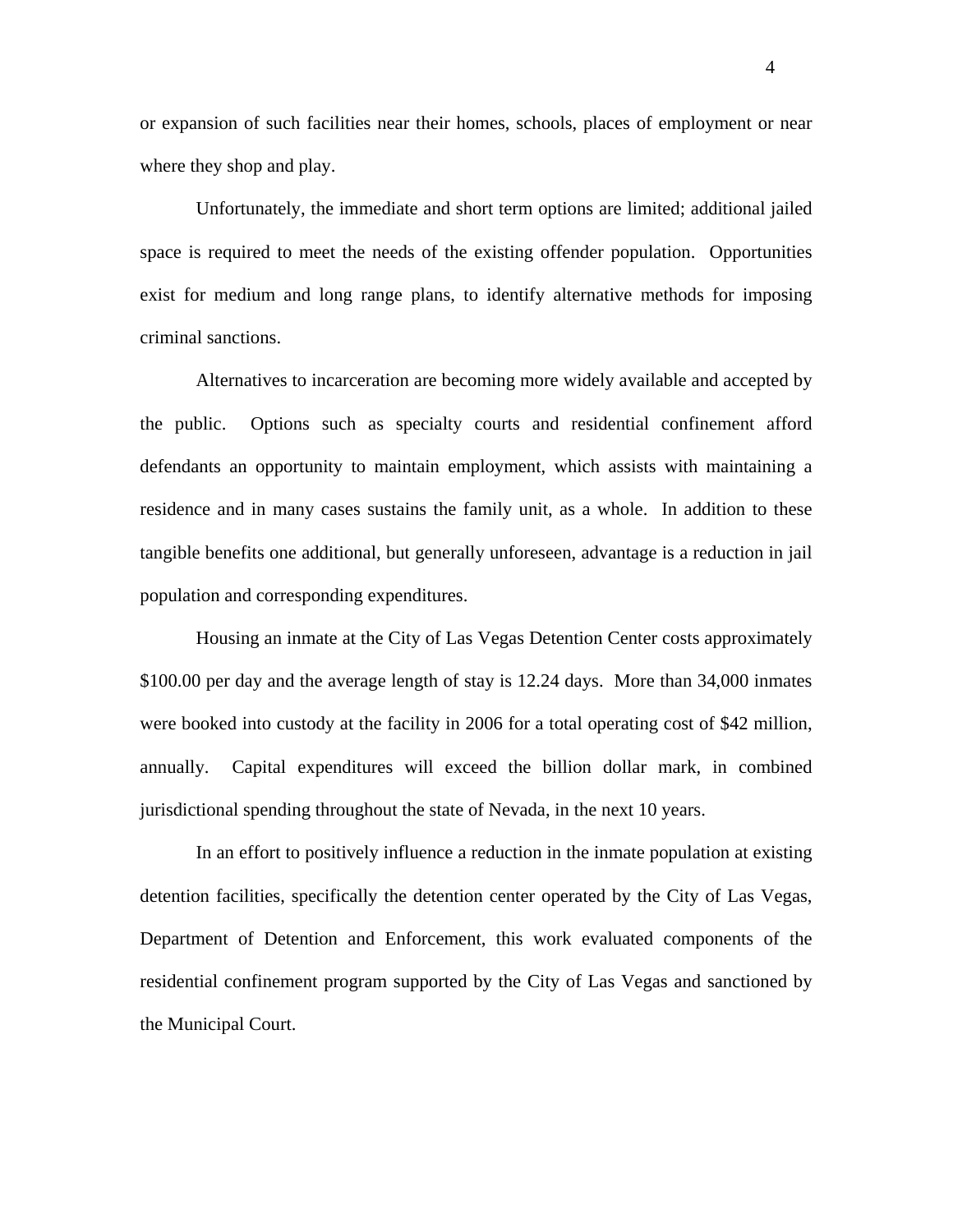or expansion of such facilities near their homes, schools, places of employment or near where they shop and play.

Unfortunately, the immediate and short term options are limited; additional jailed space is required to meet the needs of the existing offender population. Opportunities exist for medium and long range plans, to identify alternative methods for imposing criminal sanctions.

Alternatives to incarceration are becoming more widely available and accepted by the public. Options such as specialty courts and residential confinement afford defendants an opportunity to maintain employment, which assists with maintaining a residence and in many cases sustains the family unit, as a whole. In addition to these tangible benefits one additional, but generally unforeseen, advantage is a reduction in jail population and corresponding expenditures.

Housing an inmate at the City of Las Vegas Detention Center costs approximately \$100.00 per day and the average length of stay is 12.24 days. More than 34,000 inmates were booked into custody at the facility in 2006 for a total operating cost of \$42 million, annually. Capital expenditures will exceed the billion dollar mark, in combined jurisdictional spending throughout the state of Nevada, in the next 10 years.

In an effort to positively influence a reduction in the inmate population at existing detention facilities, specifically the detention center operated by the City of Las Vegas, Department of Detention and Enforcement, this work evaluated components of the residential confinement program supported by the City of Las Vegas and sanctioned by the Municipal Court.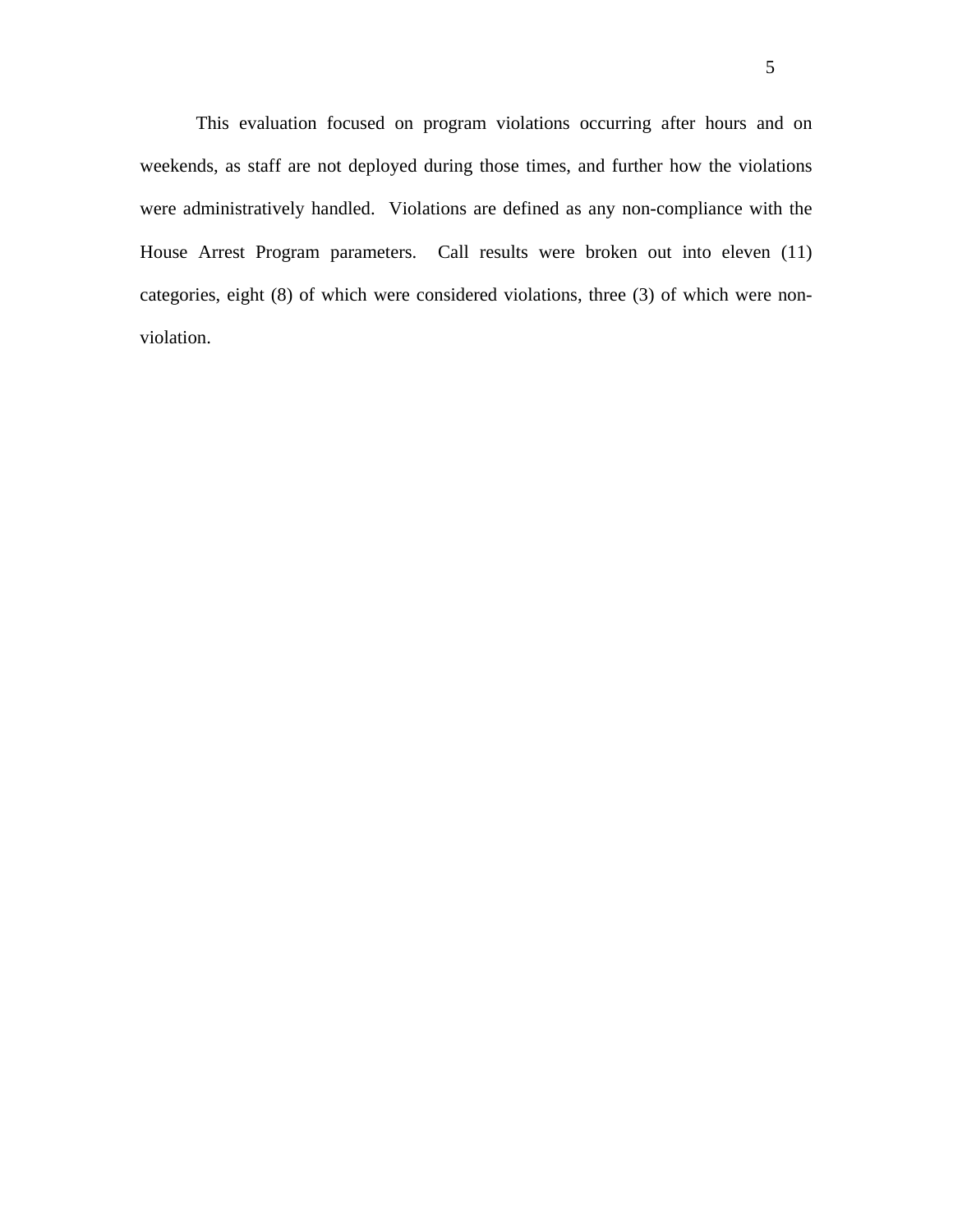This evaluation focused on program violations occurring after hours and on weekends, as staff are not deployed during those times, and further how the violations were administratively handled. Violations are defined as any non-compliance with the House Arrest Program parameters. Call results were broken out into eleven (11) categories, eight (8) of which were considered violations, three (3) of which were nonviolation.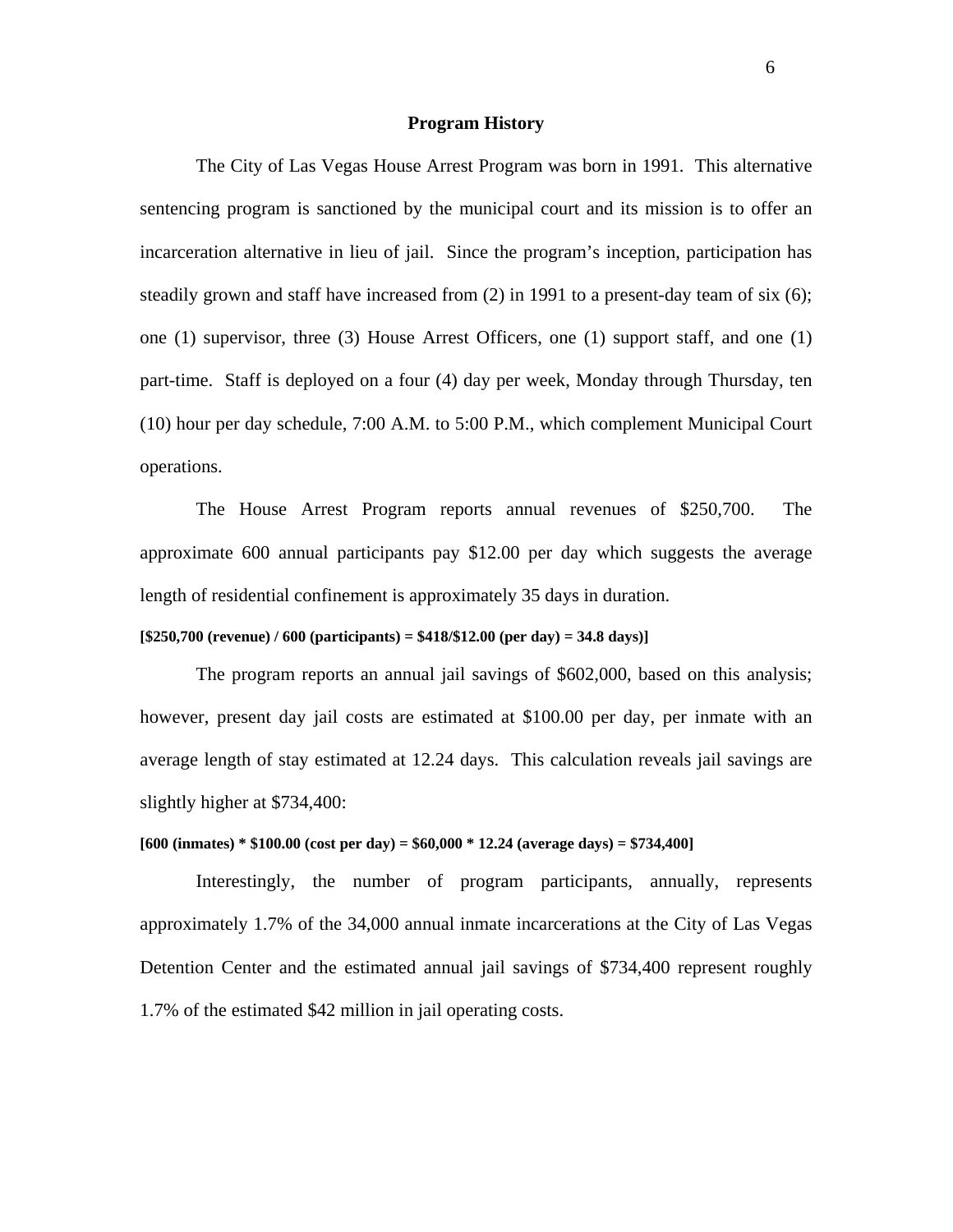#### **Program History**

The City of Las Vegas House Arrest Program was born in 1991. This alternative sentencing program is sanctioned by the municipal court and its mission is to offer an incarceration alternative in lieu of jail. Since the program's inception, participation has steadily grown and staff have increased from (2) in 1991 to a present-day team of six (6); one (1) supervisor, three (3) House Arrest Officers, one (1) support staff, and one (1) part-time. Staff is deployed on a four (4) day per week, Monday through Thursday, ten (10) hour per day schedule, 7:00 A.M. to 5:00 P.M., which complement Municipal Court operations.

The House Arrest Program reports annual revenues of \$250,700. The approximate 600 annual participants pay \$12.00 per day which suggests the average length of residential confinement is approximately 35 days in duration.

#### **[\$250,700 (revenue) / 600 (participants) = \$418/\$12.00 (per day) = 34.8 days)]**

The program reports an annual jail savings of \$602,000, based on this analysis; however, present day jail costs are estimated at \$100.00 per day, per inmate with an average length of stay estimated at 12.24 days. This calculation reveals jail savings are slightly higher at \$734,400:

#### **[600 (inmates) \* \$100.00 (cost per day) = \$60,000 \* 12.24 (average days) = \$734,400]**

Interestingly, the number of program participants, annually, represents approximately 1.7% of the 34,000 annual inmate incarcerations at the City of Las Vegas Detention Center and the estimated annual jail savings of \$734,400 represent roughly 1.7% of the estimated \$42 million in jail operating costs.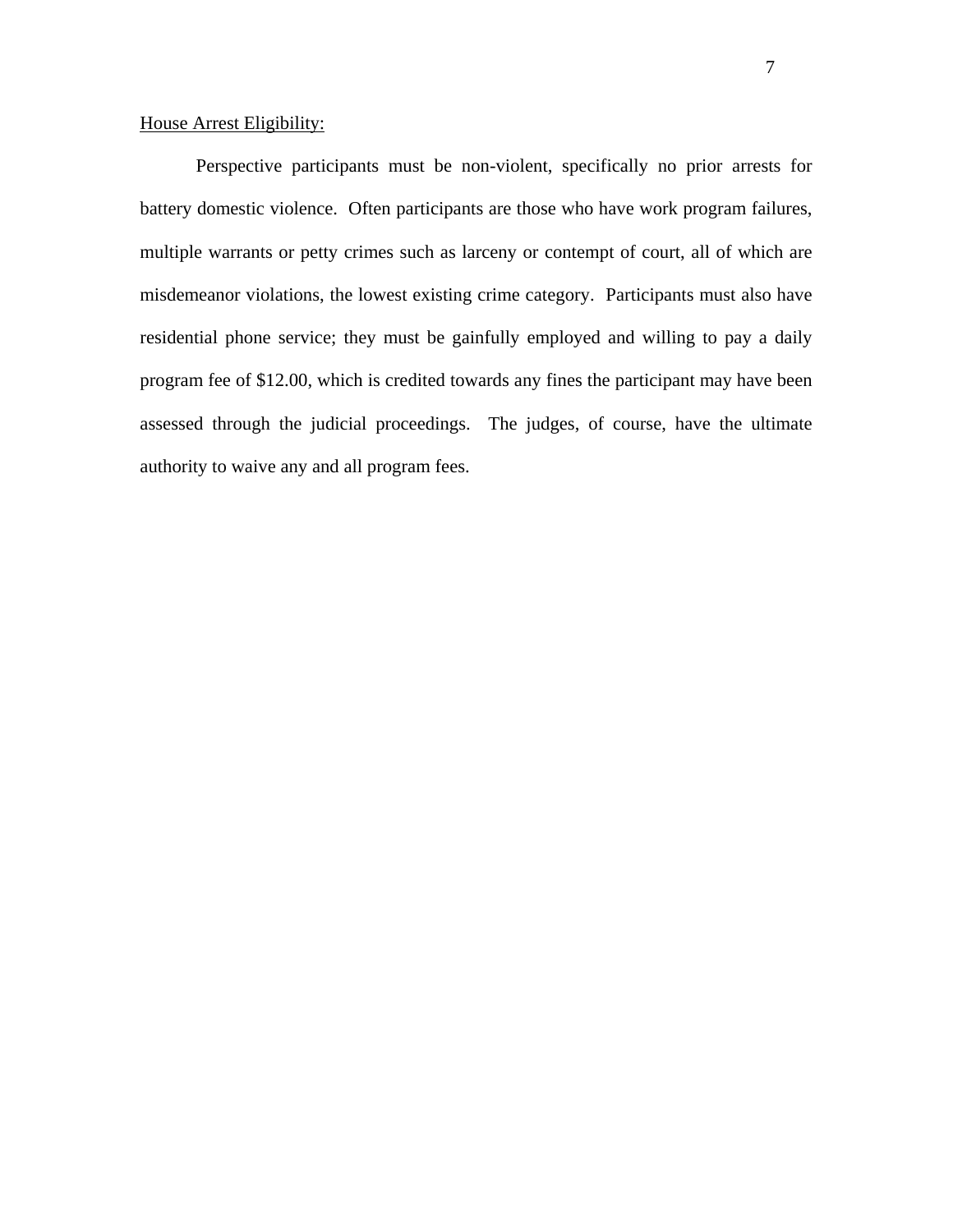## House Arrest Eligibility:

Perspective participants must be non-violent, specifically no prior arrests for battery domestic violence. Often participants are those who have work program failures, multiple warrants or petty crimes such as larceny or contempt of court, all of which are misdemeanor violations, the lowest existing crime category. Participants must also have residential phone service; they must be gainfully employed and willing to pay a daily program fee of \$12.00, which is credited towards any fines the participant may have been assessed through the judicial proceedings. The judges, of course, have the ultimate authority to waive any and all program fees.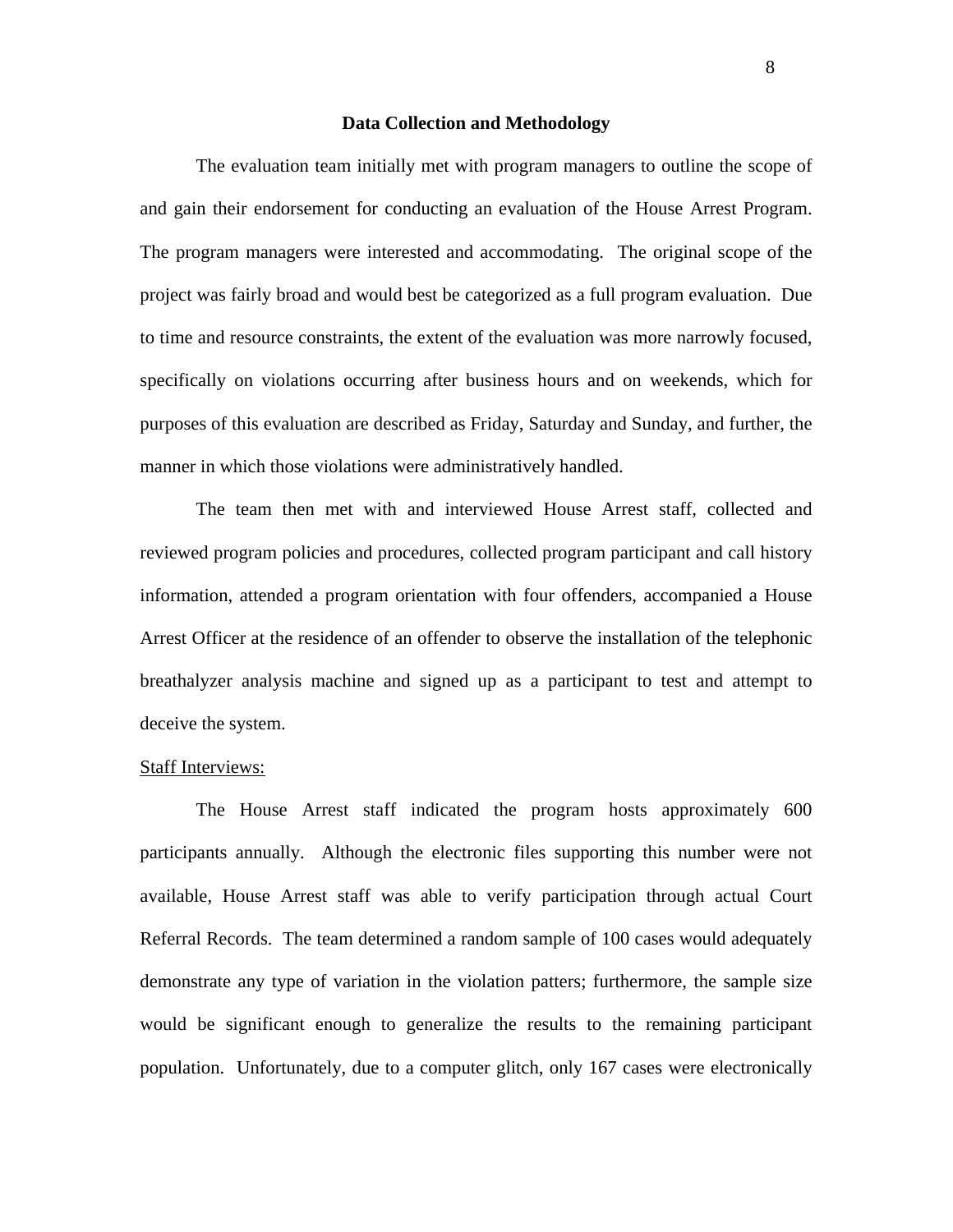#### **Data Collection and Methodology**

The evaluation team initially met with program managers to outline the scope of and gain their endorsement for conducting an evaluation of the House Arrest Program. The program managers were interested and accommodating. The original scope of the project was fairly broad and would best be categorized as a full program evaluation. Due to time and resource constraints, the extent of the evaluation was more narrowly focused, specifically on violations occurring after business hours and on weekends, which for purposes of this evaluation are described as Friday, Saturday and Sunday, and further, the manner in which those violations were administratively handled.

The team then met with and interviewed House Arrest staff, collected and reviewed program policies and procedures, collected program participant and call history information, attended a program orientation with four offenders, accompanied a House Arrest Officer at the residence of an offender to observe the installation of the telephonic breathalyzer analysis machine and signed up as a participant to test and attempt to deceive the system.

#### Staff Interviews:

The House Arrest staff indicated the program hosts approximately 600 participants annually. Although the electronic files supporting this number were not available, House Arrest staff was able to verify participation through actual Court Referral Records. The team determined a random sample of 100 cases would adequately demonstrate any type of variation in the violation patters; furthermore, the sample size would be significant enough to generalize the results to the remaining participant population. Unfortunately, due to a computer glitch, only 167 cases were electronically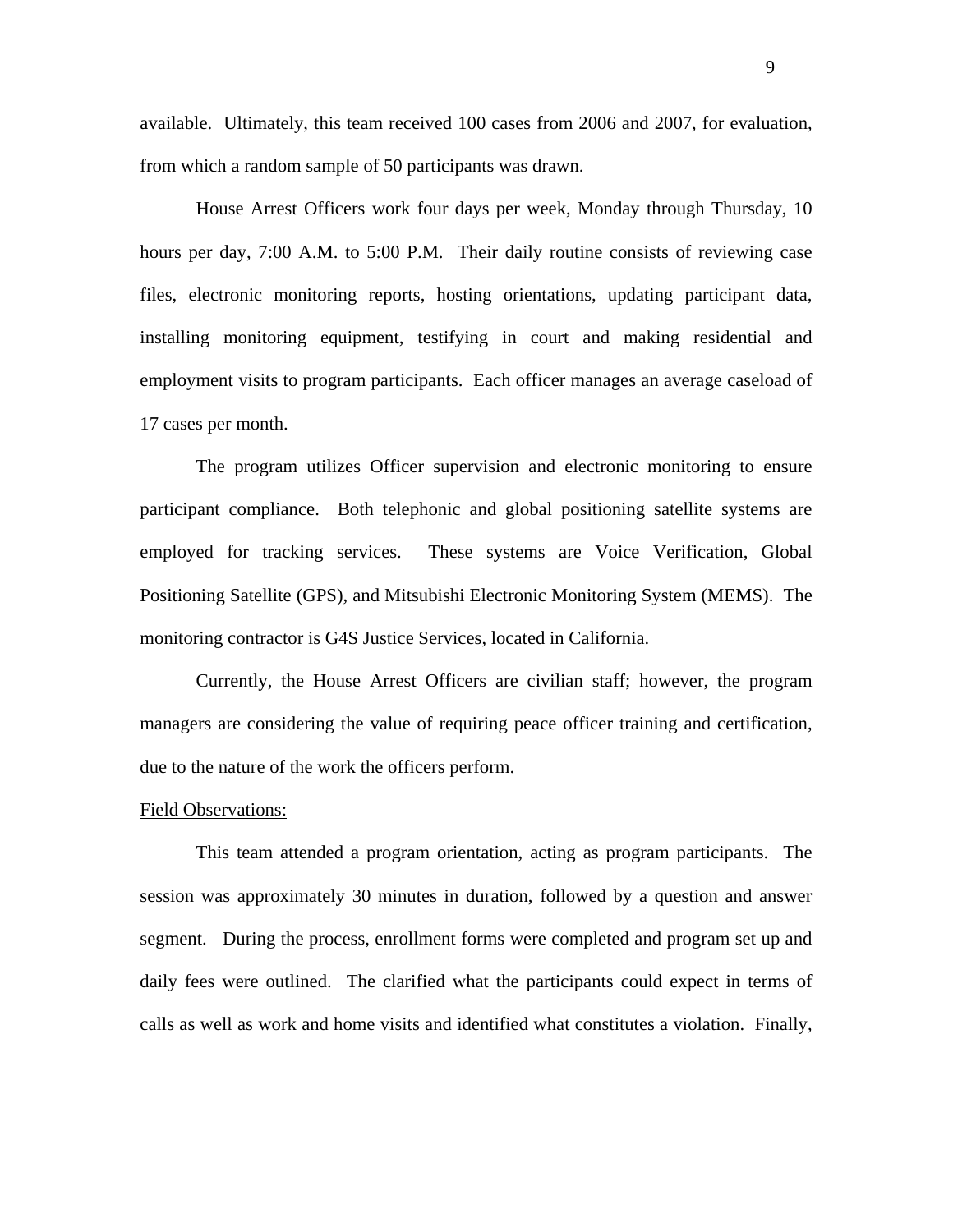available. Ultimately, this team received 100 cases from 2006 and 2007, for evaluation, from which a random sample of 50 participants was drawn.

House Arrest Officers work four days per week, Monday through Thursday, 10 hours per day, 7:00 A.M. to 5:00 P.M. Their daily routine consists of reviewing case files, electronic monitoring reports, hosting orientations, updating participant data, installing monitoring equipment, testifying in court and making residential and employment visits to program participants. Each officer manages an average caseload of 17 cases per month.

The program utilizes Officer supervision and electronic monitoring to ensure participant compliance. Both telephonic and global positioning satellite systems are employed for tracking services. These systems are Voice Verification, Global Positioning Satellite (GPS), and Mitsubishi Electronic Monitoring System (MEMS). The monitoring contractor is G4S Justice Services, located in California.

Currently, the House Arrest Officers are civilian staff; however, the program managers are considering the value of requiring peace officer training and certification, due to the nature of the work the officers perform.

#### Field Observations:

This team attended a program orientation, acting as program participants. The session was approximately 30 minutes in duration, followed by a question and answer segment. During the process, enrollment forms were completed and program set up and daily fees were outlined. The clarified what the participants could expect in terms of calls as well as work and home visits and identified what constitutes a violation. Finally,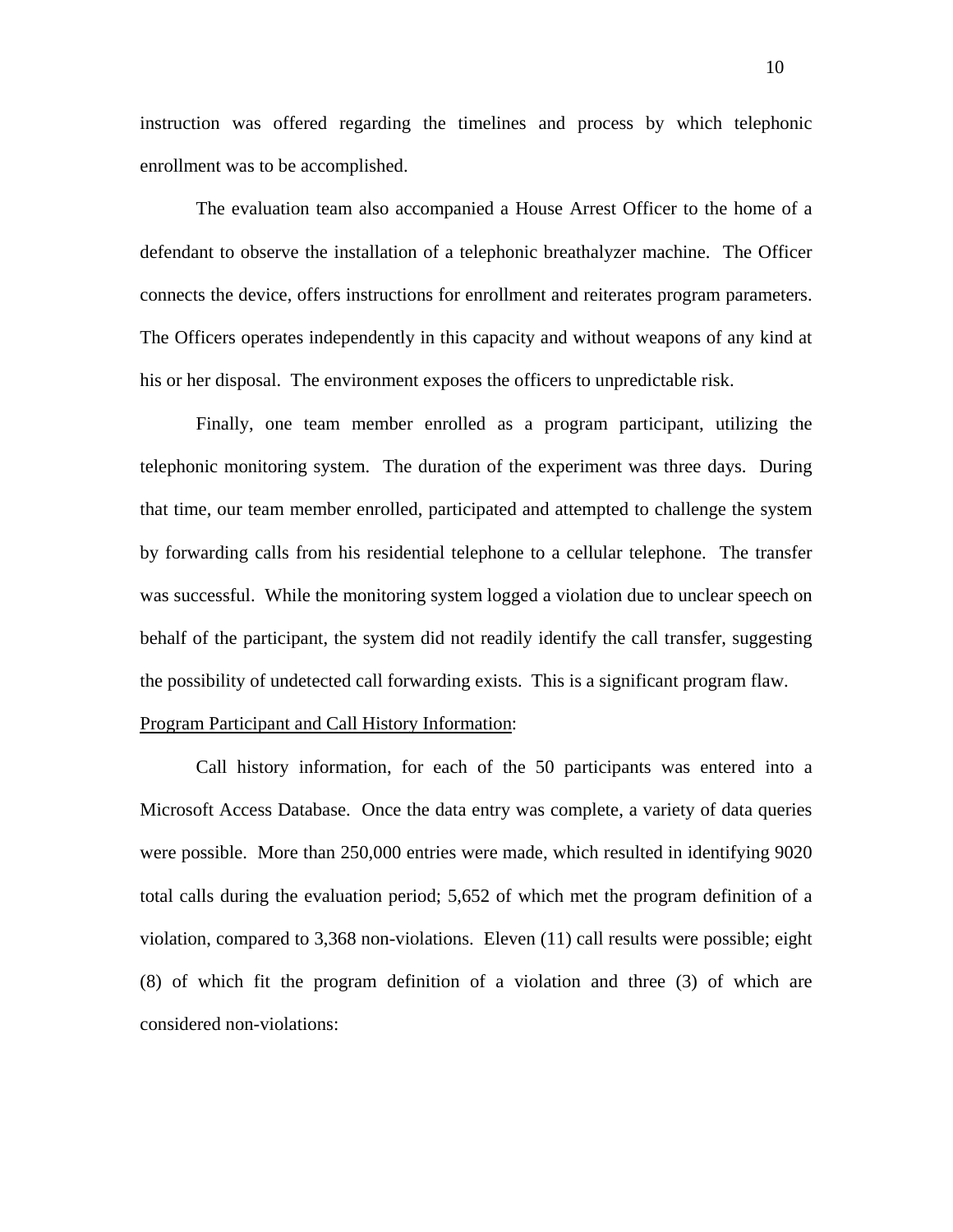instruction was offered regarding the timelines and process by which telephonic enrollment was to be accomplished.

The evaluation team also accompanied a House Arrest Officer to the home of a defendant to observe the installation of a telephonic breathalyzer machine. The Officer connects the device, offers instructions for enrollment and reiterates program parameters. The Officers operates independently in this capacity and without weapons of any kind at his or her disposal. The environment exposes the officers to unpredictable risk.

Finally, one team member enrolled as a program participant, utilizing the telephonic monitoring system. The duration of the experiment was three days. During that time, our team member enrolled, participated and attempted to challenge the system by forwarding calls from his residential telephone to a cellular telephone. The transfer was successful. While the monitoring system logged a violation due to unclear speech on behalf of the participant, the system did not readily identify the call transfer, suggesting the possibility of undetected call forwarding exists. This is a significant program flaw.

#### Program Participant and Call History Information:

Call history information, for each of the 50 participants was entered into a Microsoft Access Database. Once the data entry was complete, a variety of data queries were possible. More than 250,000 entries were made, which resulted in identifying 9020 total calls during the evaluation period; 5,652 of which met the program definition of a violation, compared to 3,368 non-violations. Eleven (11) call results were possible; eight (8) of which fit the program definition of a violation and three (3) of which are considered non-violations: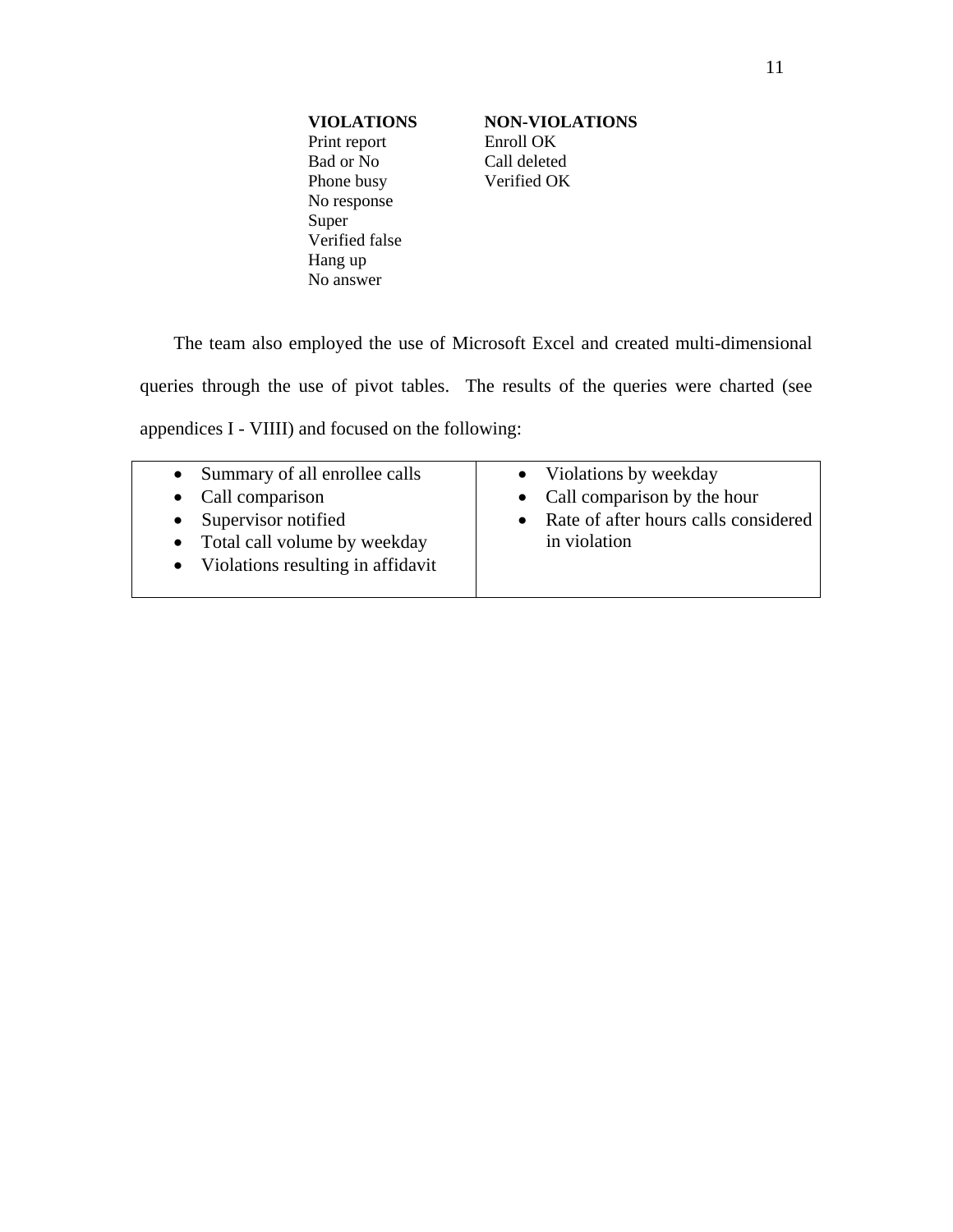Print report Enroll OK Bad or No Call deleted Phone busy **Verified OK** No response Super Verified false Hang up No answer

**VIOLATIONS NON-VIOLATIONS** 

The team also employed the use of Microsoft Excel and created multi-dimensional queries through the use of pivot tables. The results of the queries were charted (see appendices I - VIIII) and focused on the following:

| • Summary of all enrollee calls     | • Violations by weekday                |
|-------------------------------------|----------------------------------------|
| • Call comparison                   | • Call comparison by the hour          |
| Supervisor notified<br>$\bullet$    | • Rate of after hours calls considered |
| • Total call volume by weekday      | in violation                           |
| • Violations resulting in affidavit |                                        |
|                                     |                                        |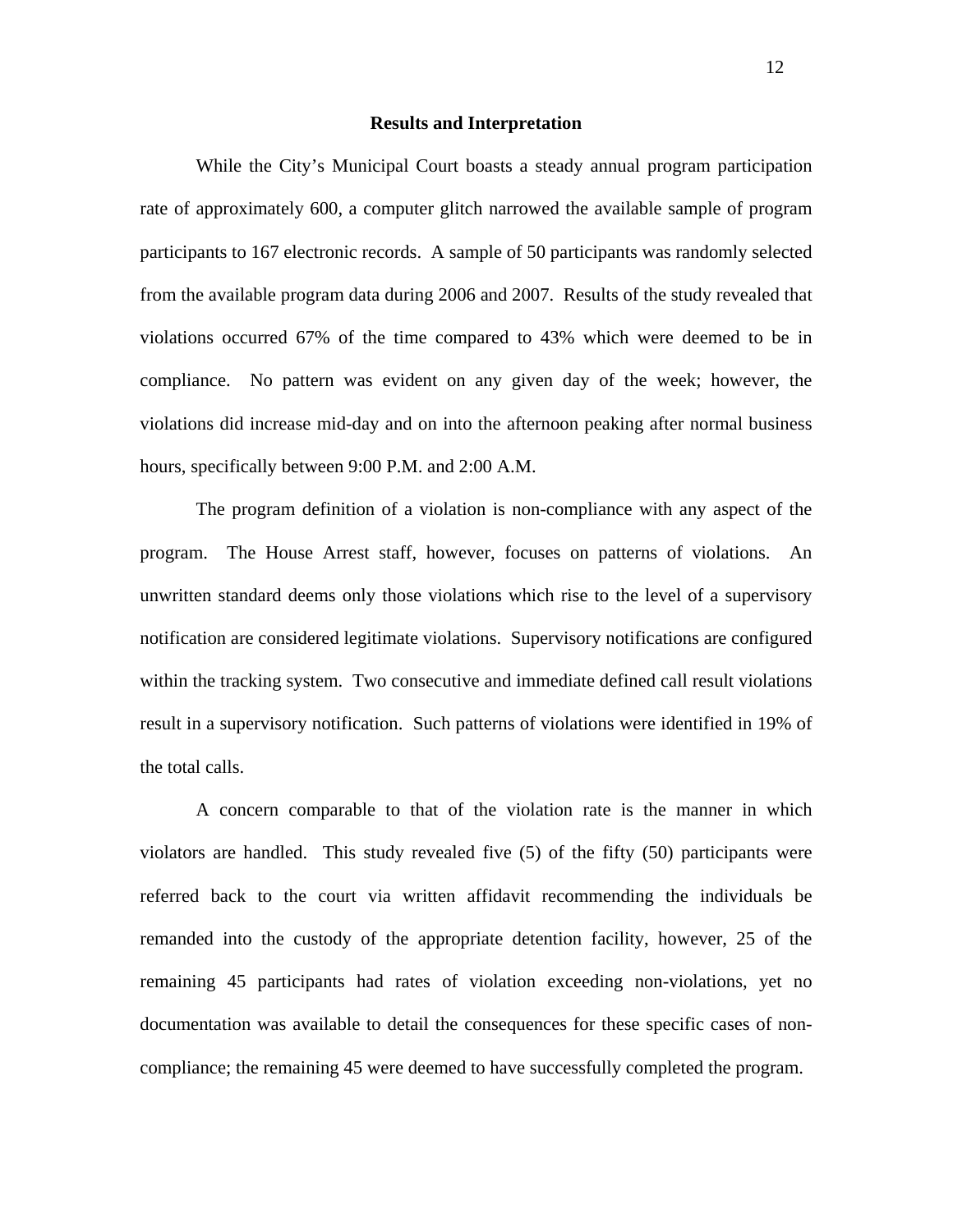#### **Results and Interpretation**

While the City's Municipal Court boasts a steady annual program participation rate of approximately 600, a computer glitch narrowed the available sample of program participants to 167 electronic records. A sample of 50 participants was randomly selected from the available program data during 2006 and 2007. Results of the study revealed that violations occurred 67% of the time compared to 43% which were deemed to be in compliance. No pattern was evident on any given day of the week; however, the violations did increase mid-day and on into the afternoon peaking after normal business hours, specifically between 9:00 P.M. and 2:00 A.M.

The program definition of a violation is non-compliance with any aspect of the program. The House Arrest staff, however, focuses on patterns of violations. An unwritten standard deems only those violations which rise to the level of a supervisory notification are considered legitimate violations. Supervisory notifications are configured within the tracking system. Two consecutive and immediate defined call result violations result in a supervisory notification. Such patterns of violations were identified in 19% of the total calls.

A concern comparable to that of the violation rate is the manner in which violators are handled. This study revealed five (5) of the fifty (50) participants were referred back to the court via written affidavit recommending the individuals be remanded into the custody of the appropriate detention facility, however, 25 of the remaining 45 participants had rates of violation exceeding non-violations, yet no documentation was available to detail the consequences for these specific cases of noncompliance; the remaining 45 were deemed to have successfully completed the program.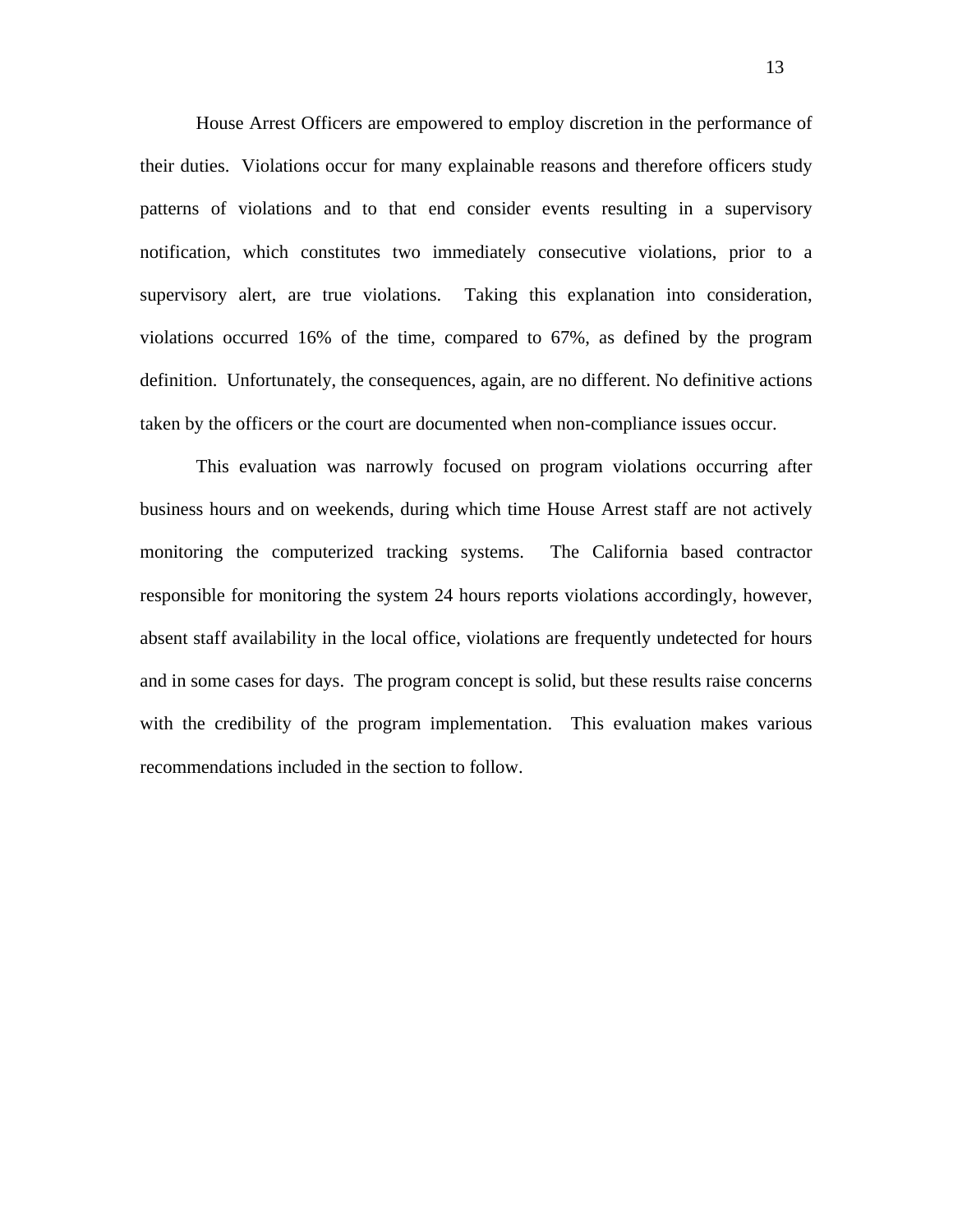House Arrest Officers are empowered to employ discretion in the performance of their duties. Violations occur for many explainable reasons and therefore officers study patterns of violations and to that end consider events resulting in a supervisory notification, which constitutes two immediately consecutive violations, prior to a supervisory alert, are true violations. Taking this explanation into consideration, violations occurred 16% of the time, compared to 67%, as defined by the program definition. Unfortunately, the consequences, again, are no different. No definitive actions taken by the officers or the court are documented when non-compliance issues occur.

This evaluation was narrowly focused on program violations occurring after business hours and on weekends, during which time House Arrest staff are not actively monitoring the computerized tracking systems. The California based contractor responsible for monitoring the system 24 hours reports violations accordingly, however, absent staff availability in the local office, violations are frequently undetected for hours and in some cases for days. The program concept is solid, but these results raise concerns with the credibility of the program implementation. This evaluation makes various recommendations included in the section to follow.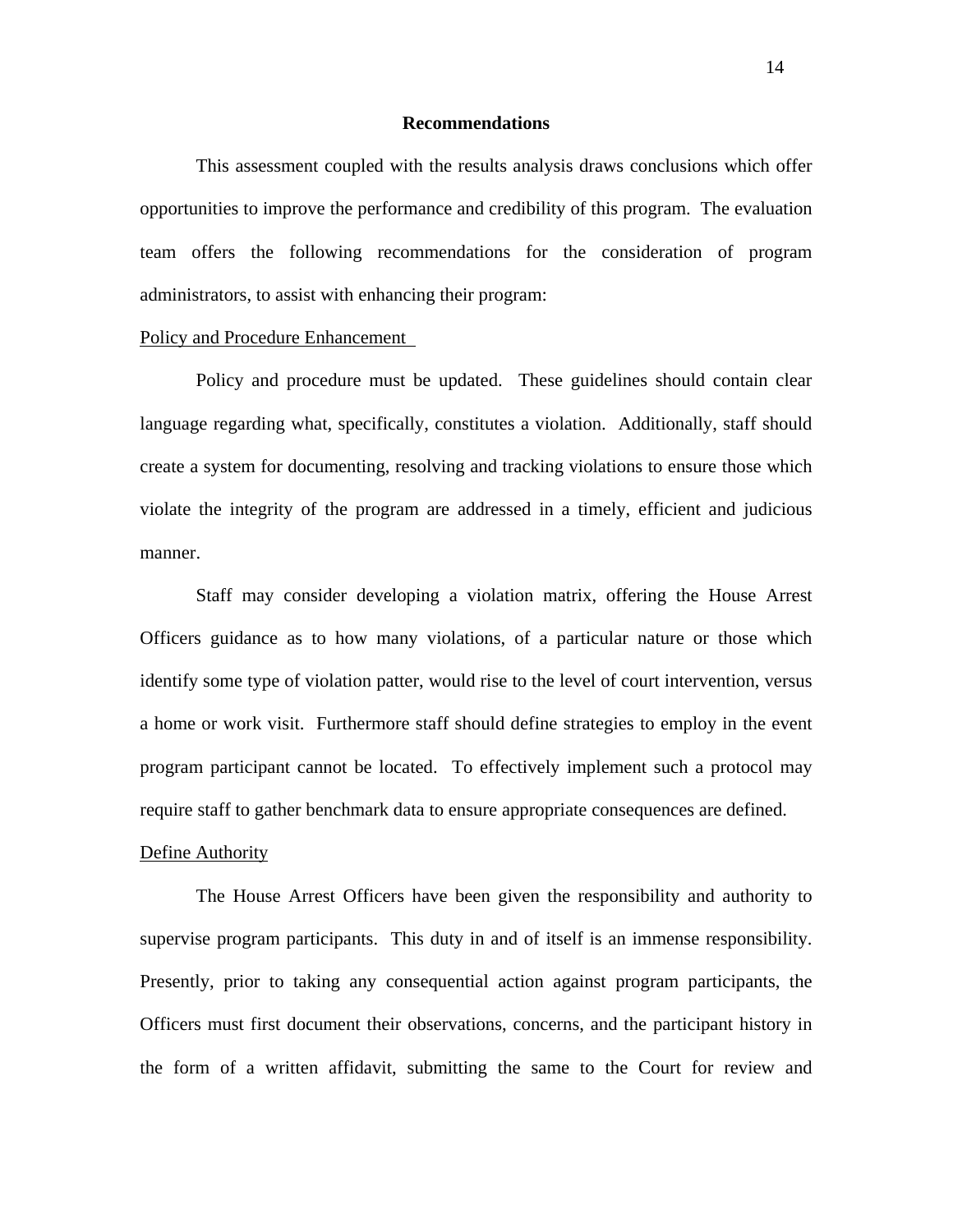#### **Recommendations**

 This assessment coupled with the results analysis draws conclusions which offer opportunities to improve the performance and credibility of this program. The evaluation team offers the following recommendations for the consideration of program administrators, to assist with enhancing their program:

#### Policy and Procedure Enhancement

 Policy and procedure must be updated. These guidelines should contain clear language regarding what, specifically, constitutes a violation. Additionally, staff should create a system for documenting, resolving and tracking violations to ensure those which violate the integrity of the program are addressed in a timely, efficient and judicious manner.

Staff may consider developing a violation matrix, offering the House Arrest Officers guidance as to how many violations, of a particular nature or those which identify some type of violation patter, would rise to the level of court intervention, versus a home or work visit. Furthermore staff should define strategies to employ in the event program participant cannot be located. To effectively implement such a protocol may require staff to gather benchmark data to ensure appropriate consequences are defined.

#### Define Authority

 The House Arrest Officers have been given the responsibility and authority to supervise program participants. This duty in and of itself is an immense responsibility. Presently, prior to taking any consequential action against program participants, the Officers must first document their observations, concerns, and the participant history in the form of a written affidavit, submitting the same to the Court for review and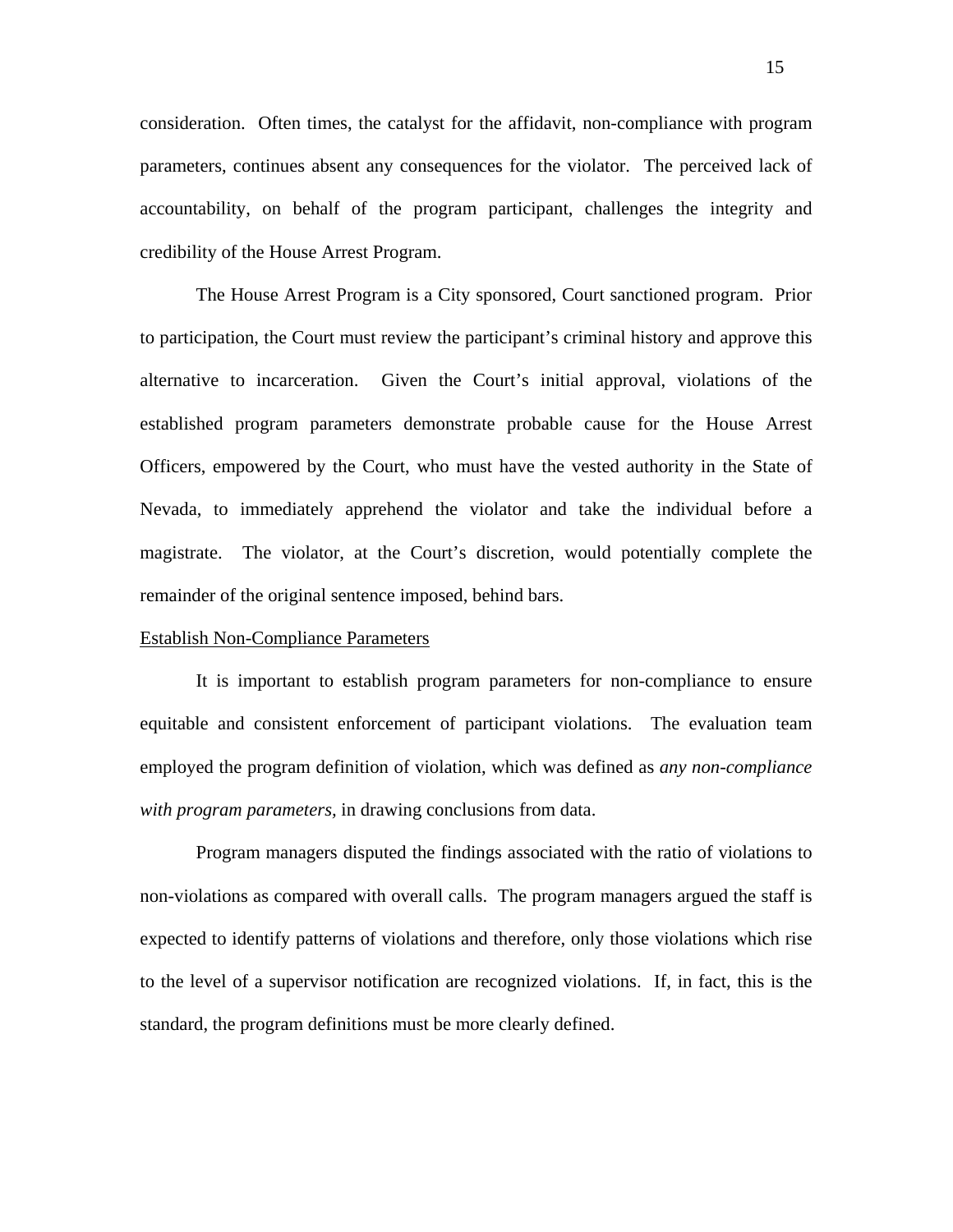consideration. Often times, the catalyst for the affidavit, non-compliance with program parameters, continues absent any consequences for the violator. The perceived lack of accountability, on behalf of the program participant, challenges the integrity and credibility of the House Arrest Program.

 The House Arrest Program is a City sponsored, Court sanctioned program. Prior to participation, the Court must review the participant's criminal history and approve this alternative to incarceration. Given the Court's initial approval, violations of the established program parameters demonstrate probable cause for the House Arrest Officers, empowered by the Court, who must have the vested authority in the State of Nevada, to immediately apprehend the violator and take the individual before a magistrate. The violator, at the Court's discretion, would potentially complete the remainder of the original sentence imposed, behind bars.

#### Establish Non-Compliance Parameters

 It is important to establish program parameters for non-compliance to ensure equitable and consistent enforcement of participant violations. The evaluation team employed the program definition of violation, which was defined as *any non-compliance with program parameters,* in drawing conclusions from data.

Program managers disputed the findings associated with the ratio of violations to non-violations as compared with overall calls. The program managers argued the staff is expected to identify patterns of violations and therefore, only those violations which rise to the level of a supervisor notification are recognized violations. If, in fact, this is the standard, the program definitions must be more clearly defined.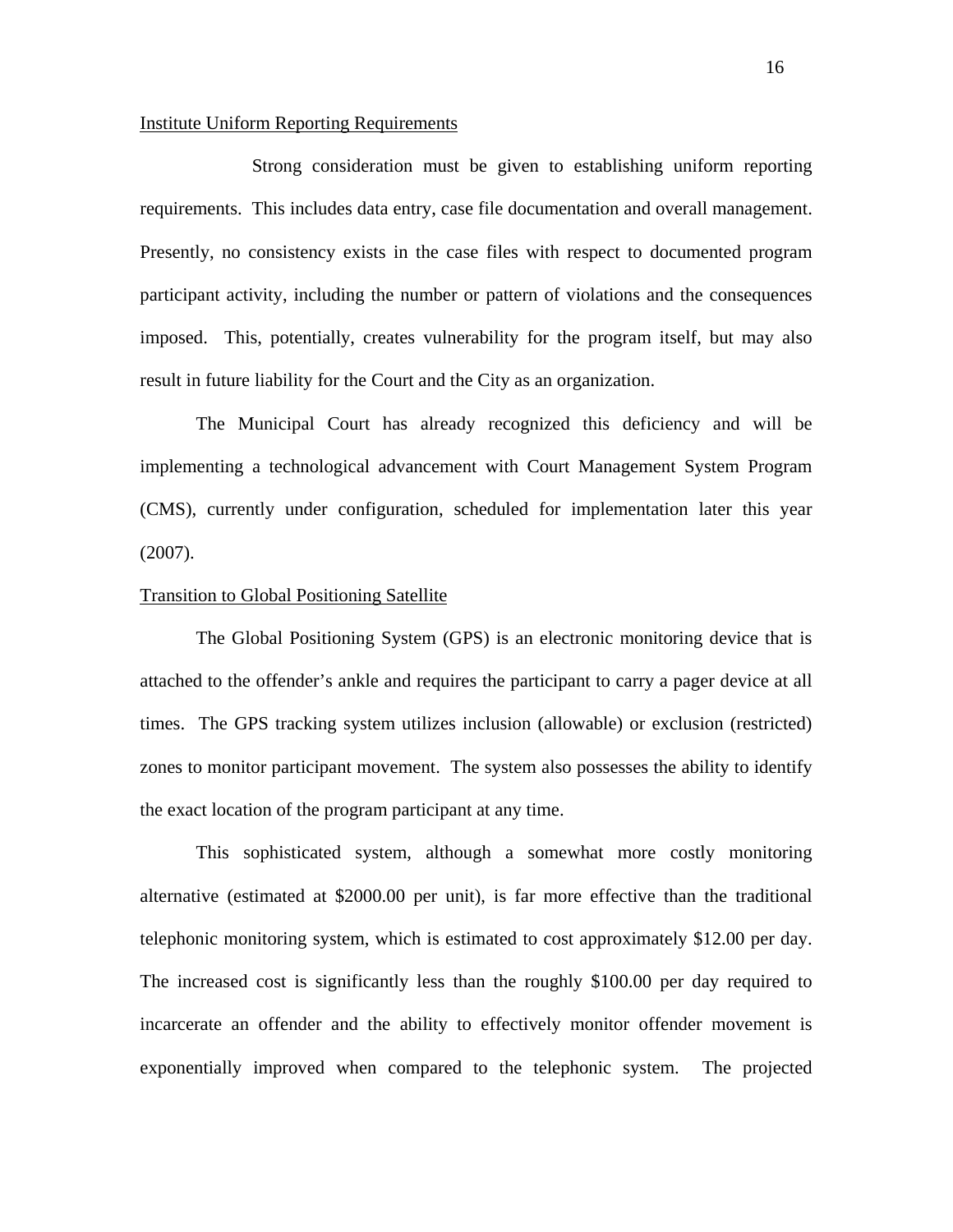#### Institute Uniform Reporting Requirements

 Strong consideration must be given to establishing uniform reporting requirements. This includes data entry, case file documentation and overall management. Presently, no consistency exists in the case files with respect to documented program participant activity, including the number or pattern of violations and the consequences imposed. This, potentially, creates vulnerability for the program itself, but may also result in future liability for the Court and the City as an organization.

The Municipal Court has already recognized this deficiency and will be implementing a technological advancement with Court Management System Program (CMS), currently under configuration, scheduled for implementation later this year (2007).

#### Transition to Global Positioning Satellite

 The Global Positioning System (GPS) is an electronic monitoring device that is attached to the offender's ankle and requires the participant to carry a pager device at all times. The GPS tracking system utilizes inclusion (allowable) or exclusion (restricted) zones to monitor participant movement. The system also possesses the ability to identify the exact location of the program participant at any time.

This sophisticated system, although a somewhat more costly monitoring alternative (estimated at \$2000.00 per unit), is far more effective than the traditional telephonic monitoring system, which is estimated to cost approximately \$12.00 per day. The increased cost is significantly less than the roughly \$100.00 per day required to incarcerate an offender and the ability to effectively monitor offender movement is exponentially improved when compared to the telephonic system. The projected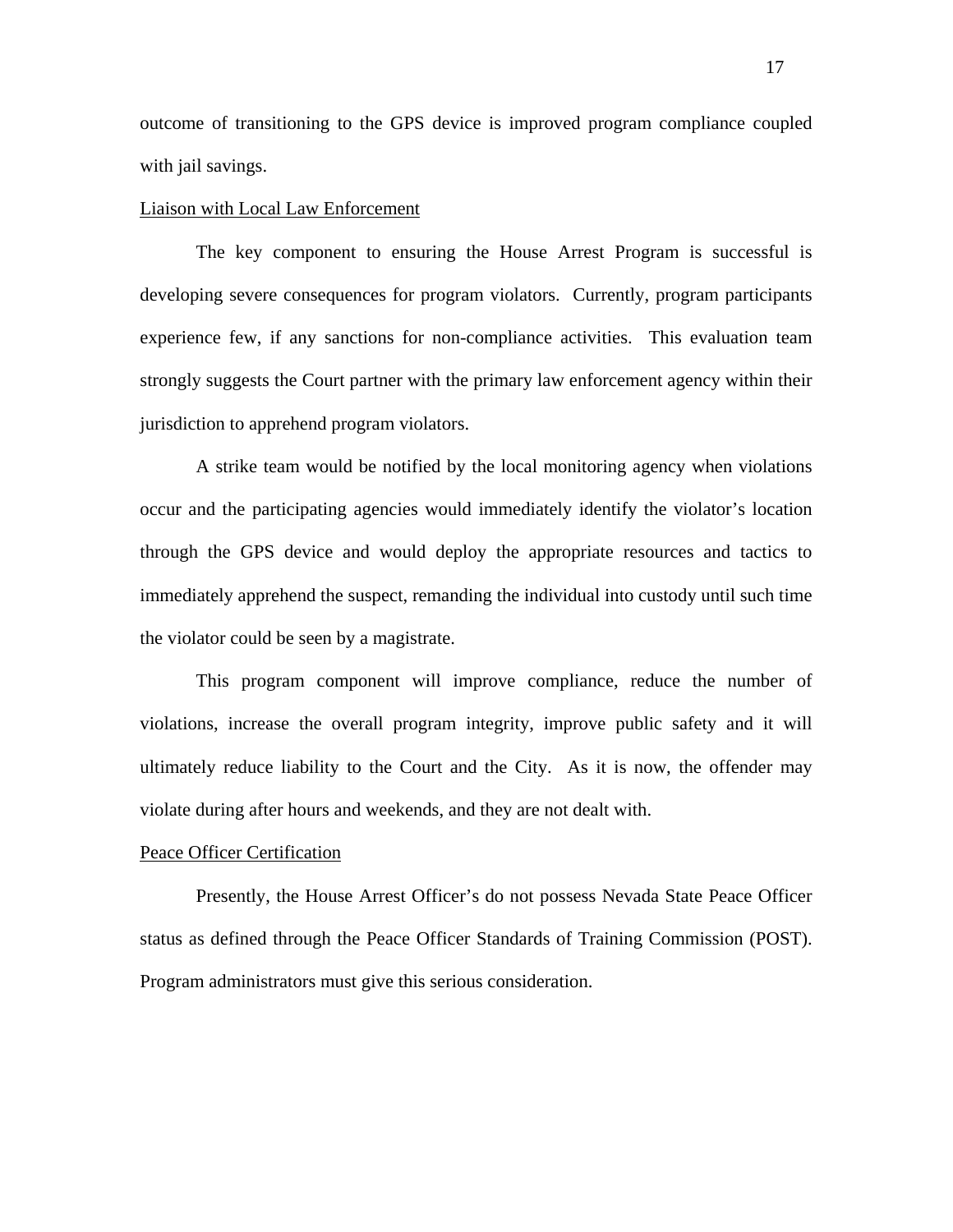outcome of transitioning to the GPS device is improved program compliance coupled with jail savings.

#### Liaison with Local Law Enforcement

 The key component to ensuring the House Arrest Program is successful is developing severe consequences for program violators. Currently, program participants experience few, if any sanctions for non-compliance activities. This evaluation team strongly suggests the Court partner with the primary law enforcement agency within their jurisdiction to apprehend program violators.

A strike team would be notified by the local monitoring agency when violations occur and the participating agencies would immediately identify the violator's location through the GPS device and would deploy the appropriate resources and tactics to immediately apprehend the suspect, remanding the individual into custody until such time the violator could be seen by a magistrate.

This program component will improve compliance, reduce the number of violations, increase the overall program integrity, improve public safety and it will ultimately reduce liability to the Court and the City. As it is now, the offender may violate during after hours and weekends, and they are not dealt with.

#### Peace Officer Certification

 Presently, the House Arrest Officer's do not possess Nevada State Peace Officer status as defined through the Peace Officer Standards of Training Commission (POST). Program administrators must give this serious consideration.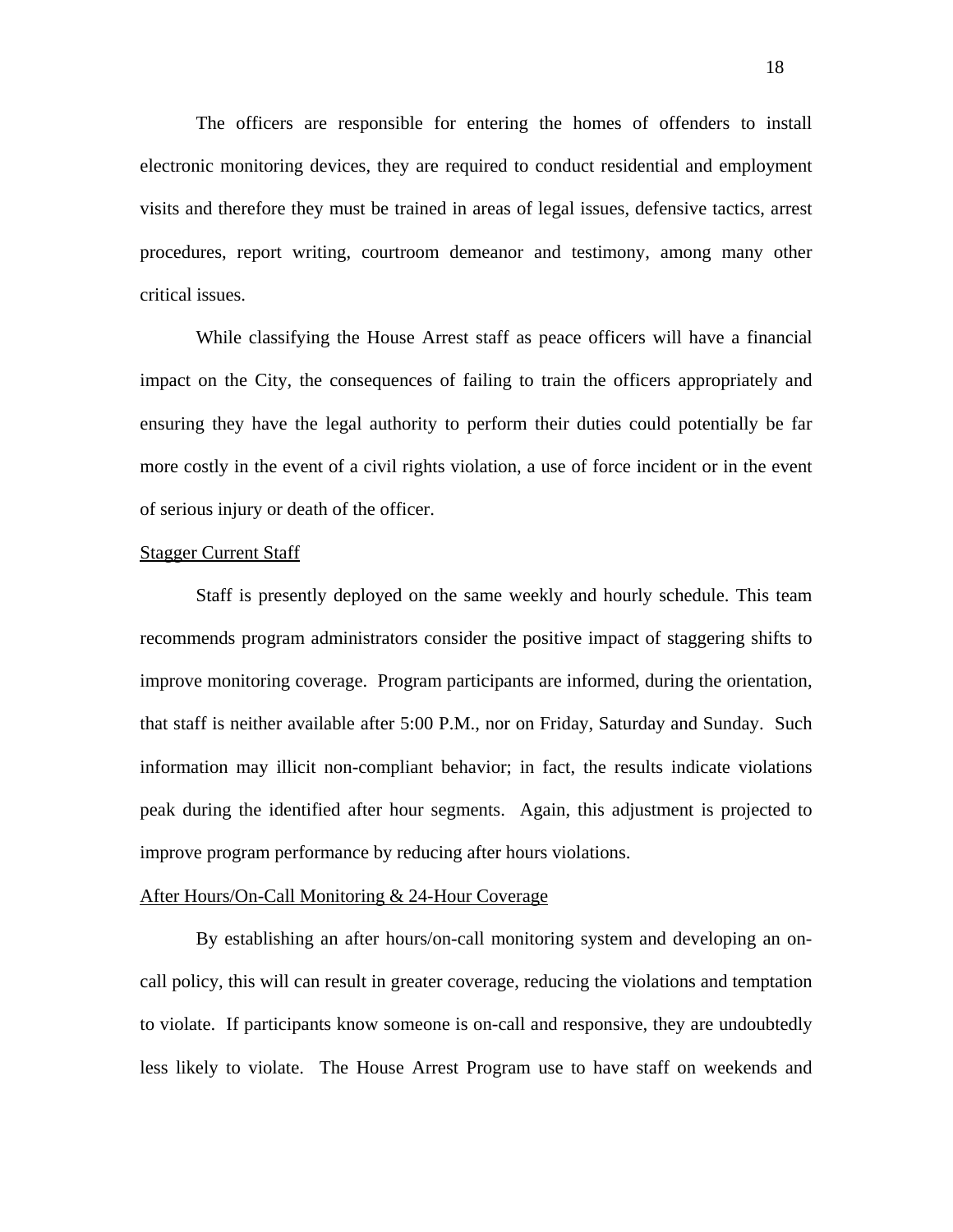The officers are responsible for entering the homes of offenders to install electronic monitoring devices, they are required to conduct residential and employment visits and therefore they must be trained in areas of legal issues, defensive tactics, arrest procedures, report writing, courtroom demeanor and testimony, among many other critical issues.

While classifying the House Arrest staff as peace officers will have a financial impact on the City, the consequences of failing to train the officers appropriately and ensuring they have the legal authority to perform their duties could potentially be far more costly in the event of a civil rights violation, a use of force incident or in the event of serious injury or death of the officer.

#### Stagger Current Staff

 Staff is presently deployed on the same weekly and hourly schedule. This team recommends program administrators consider the positive impact of staggering shifts to improve monitoring coverage. Program participants are informed, during the orientation, that staff is neither available after 5:00 P.M., nor on Friday, Saturday and Sunday. Such information may illicit non-compliant behavior; in fact, the results indicate violations peak during the identified after hour segments. Again, this adjustment is projected to improve program performance by reducing after hours violations.

#### After Hours/On-Call Monitoring & 24-Hour Coverage

 By establishing an after hours/on-call monitoring system and developing an oncall policy, this will can result in greater coverage, reducing the violations and temptation to violate. If participants know someone is on-call and responsive, they are undoubtedly less likely to violate. The House Arrest Program use to have staff on weekends and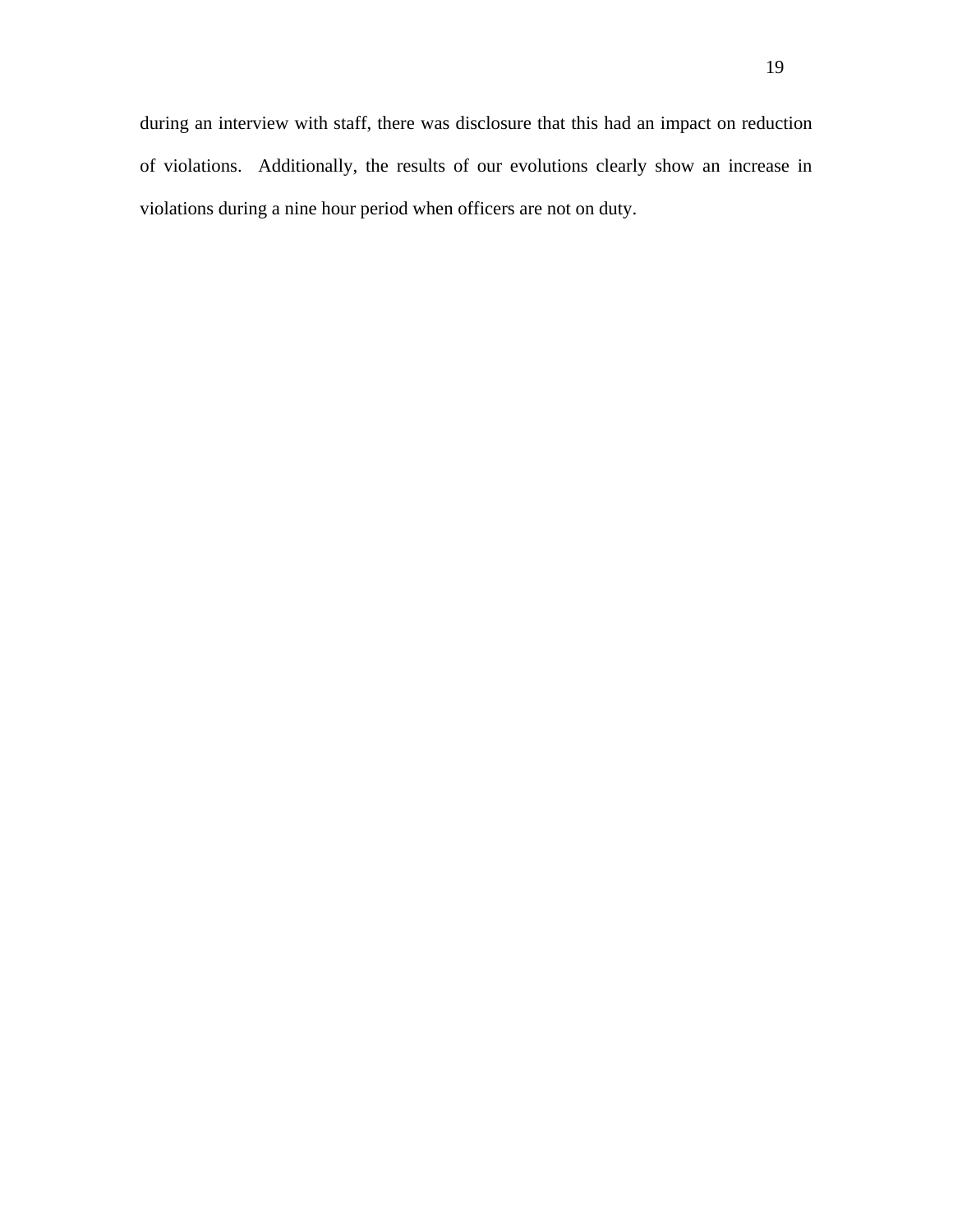during an interview with staff, there was disclosure that this had an impact on reduction of violations. Additionally, the results of our evolutions clearly show an increase in violations during a nine hour period when officers are not on duty.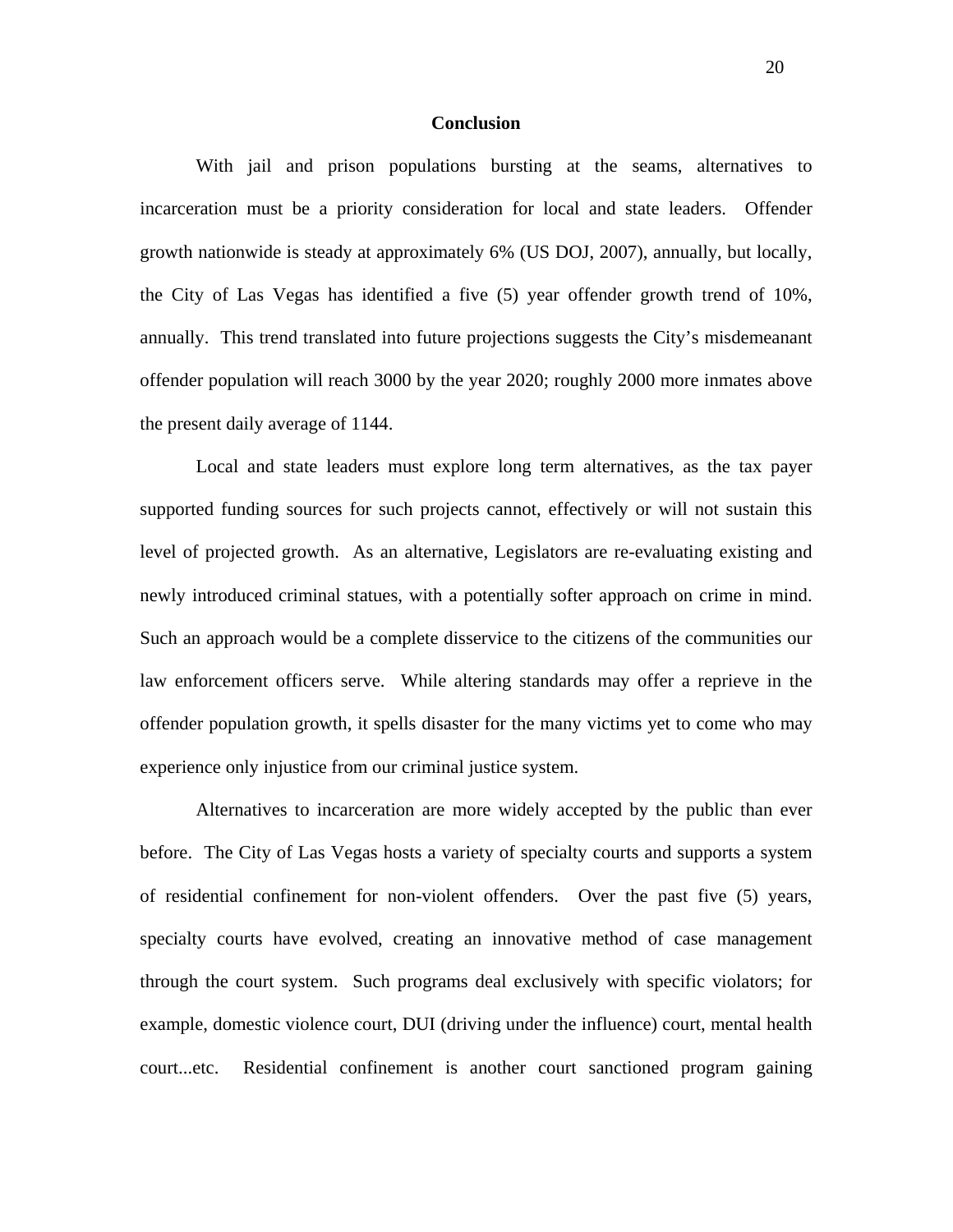#### **Conclusion**

With jail and prison populations bursting at the seams, alternatives to incarceration must be a priority consideration for local and state leaders. Offender growth nationwide is steady at approximately 6% (US DOJ, 2007), annually, but locally, the City of Las Vegas has identified a five (5) year offender growth trend of 10%, annually. This trend translated into future projections suggests the City's misdemeanant offender population will reach 3000 by the year 2020; roughly 2000 more inmates above the present daily average of 1144.

Local and state leaders must explore long term alternatives, as the tax payer supported funding sources for such projects cannot, effectively or will not sustain this level of projected growth. As an alternative, Legislators are re-evaluating existing and newly introduced criminal statues, with a potentially softer approach on crime in mind. Such an approach would be a complete disservice to the citizens of the communities our law enforcement officers serve. While altering standards may offer a reprieve in the offender population growth, it spells disaster for the many victims yet to come who may experience only injustice from our criminal justice system.

Alternatives to incarceration are more widely accepted by the public than ever before. The City of Las Vegas hosts a variety of specialty courts and supports a system of residential confinement for non-violent offenders. Over the past five (5) years, specialty courts have evolved, creating an innovative method of case management through the court system. Such programs deal exclusively with specific violators; for example, domestic violence court, DUI (driving under the influence) court, mental health court...etc. Residential confinement is another court sanctioned program gaining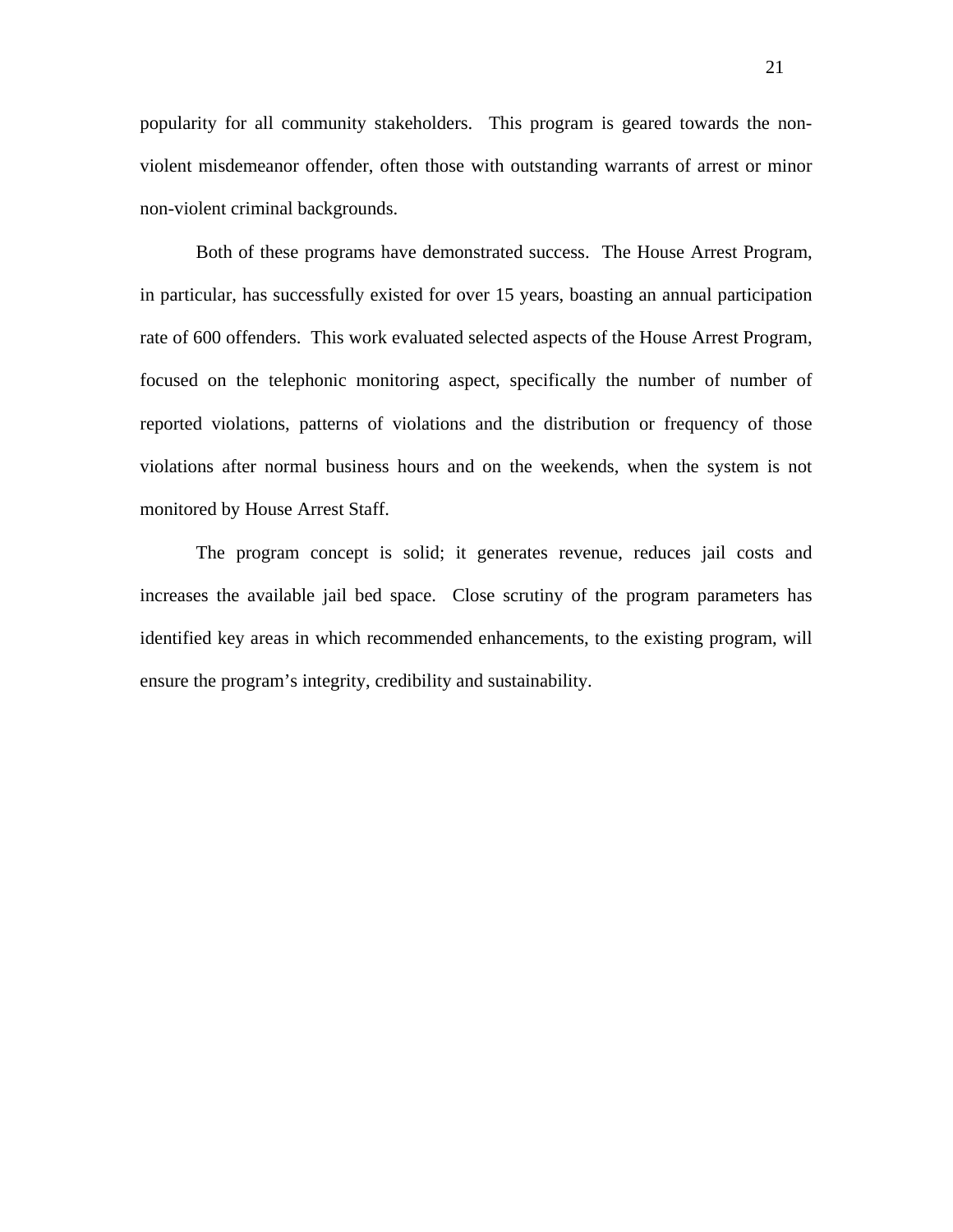popularity for all community stakeholders. This program is geared towards the nonviolent misdemeanor offender, often those with outstanding warrants of arrest or minor non-violent criminal backgrounds.

Both of these programs have demonstrated success. The House Arrest Program, in particular, has successfully existed for over 15 years, boasting an annual participation rate of 600 offenders. This work evaluated selected aspects of the House Arrest Program, focused on the telephonic monitoring aspect, specifically the number of number of reported violations, patterns of violations and the distribution or frequency of those violations after normal business hours and on the weekends, when the system is not monitored by House Arrest Staff.

The program concept is solid; it generates revenue, reduces jail costs and increases the available jail bed space. Close scrutiny of the program parameters has identified key areas in which recommended enhancements, to the existing program, will ensure the program's integrity, credibility and sustainability.